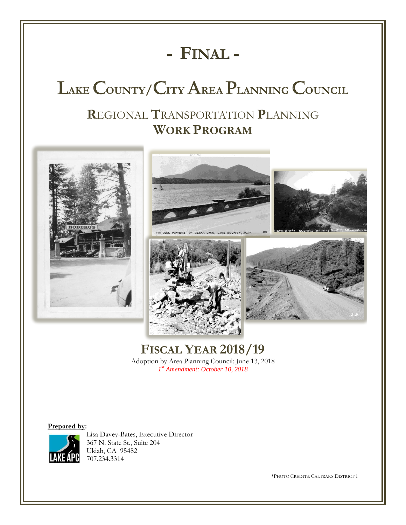# **- FINAL -**

# L**AKE** C**OUNTY/**C**ITY** A**REA** P**LANNING** C**OUNCIL**

## **R**EGIONAL **T**RANSPORTATION **P**LANNING **WORK PROGRAM**









## **FISCAL YEAR 2018/19**

Adoption by Area Planning Council: June 13, 2018 *1 st Amendment: October 10, 2018*

#### **Prepared by:**



Lisa Davey-Bates, Executive Director 367 N. State St., Suite 204 Ukiah, CA 95482 707.234.3314

\*PHOTO CREDITS: CALTRANS DISTRICT 1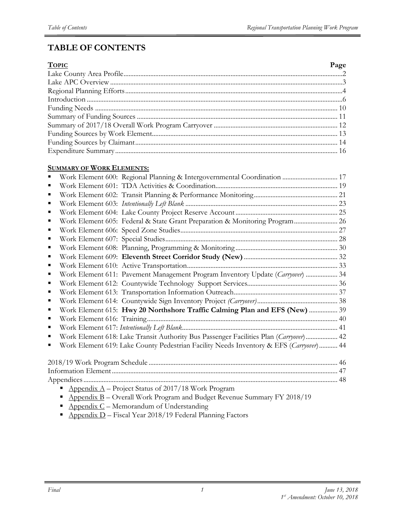## **TABLE OF CONTENTS**

| <b>TOPIC</b> | Page |
|--------------|------|
|              |      |
|              |      |
|              |      |
|              |      |
|              |      |
|              |      |
|              |      |
|              |      |
|              |      |
|              |      |

#### **SUMMARY OF WORK ELEMENTS:**

|   | Work Element 600: Regional Planning & Intergovernmental Coordination  17               |  |
|---|----------------------------------------------------------------------------------------|--|
|   |                                                                                        |  |
| ■ |                                                                                        |  |
| ■ |                                                                                        |  |
| п |                                                                                        |  |
|   | Work Element 605: Federal & State Grant Preparation & Monitoring Program 26            |  |
| ∎ |                                                                                        |  |
|   |                                                                                        |  |
|   |                                                                                        |  |
|   |                                                                                        |  |
|   |                                                                                        |  |
|   | Work Element 611: Pavement Management Program Inventory Update (Carryover)  34         |  |
| ■ |                                                                                        |  |
| п |                                                                                        |  |
| ■ |                                                                                        |  |
|   | Work Element 615: Hwy 20 Northshore Traffic Calming Plan and EFS (New)  39             |  |
|   |                                                                                        |  |
| п |                                                                                        |  |
|   | Work Element 618: Lake Transit Authority Bus Passenger Facilities Plan (Carryover) 42  |  |
|   | Work Element 619: Lake County Pedestrian Facility Needs Inventory & EFS (Carryover) 44 |  |
|   |                                                                                        |  |
|   |                                                                                        |  |
|   |                                                                                        |  |
|   |                                                                                        |  |
|   | Appendix $A$ – Project Status of 2017/18 Work Program                                  |  |
|   | Appendix B - Overall Work Program and Budget Revenue Summary FY 2018/19                |  |
|   | $\Delta$ ppendix $C$ – Memorandum of Understanding                                     |  |

*1*

**Appendix D** – Fiscal Year 2018/19 Federal Planning Factors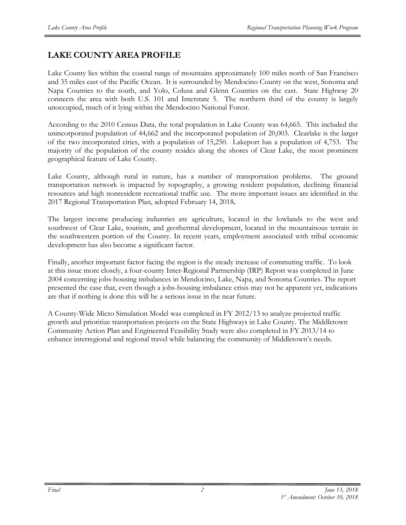## **LAKE COUNTY AREA PROFILE**

Lake County lies within the coastal range of mountains approximately 100 miles north of San Francisco and 35 miles east of the Pacific Ocean. It is surrounded by Mendocino County on the west, Sonoma and Napa Counties to the south, and Yolo, Colusa and Glenn Counties on the east. State Highway 20 connects the area with both U.S. 101 and Interstate 5. The northern third of the county is largely unoccupied, much of it lying within the Mendocino National Forest.

According to the 2010 Census Data, the total population in Lake County was 64,665. This included the unincorporated population of 44,662 and the incorporated population of 20,003. Clearlake is the larger of the two incorporated cities, with a population of 15,250. Lakeport has a population of 4,753. The majority of the population of the county resides along the shores of Clear Lake, the most prominent geographical feature of Lake County.

Lake County, although rural in nature, has a number of transportation problems. The ground transportation network is impacted by topography, a growing resident population, declining financial resources and high nonresident recreational traffic use. The more important issues are identified in the 2017 Regional Transportation Plan, adopted February 14, 2018**.** 

The largest income producing industries are agriculture, located in the lowlands to the west and southwest of Clear Lake, tourism, and geothermal development, located in the mountainous terrain in the southwestern portion of the County. In recent years, employment associated with tribal economic development has also become a significant factor.

Finally, another important factor facing the region is the steady increase of commuting traffic. To look at this issue more closely, a four-county Inter-Regional Partnership (IRP) Report was completed in June 2004 concerning jobs-housing imbalances in Mendocino, Lake, Napa, and Sonoma Counties. The report presented the case that, even though a jobs-housing imbalance crisis may not be apparent yet, indications are that if nothing is done this will be a serious issue in the near future.

A County-Wide Micro Simulation Model was completed in FY 2012/13 to analyze projected traffic growth and prioritize transportation projects on the State Highways in Lake County. The Middletown Community Action Plan and Engineered Feasibility Study were also completed in FY 2013/14 to enhance interregional and regional travel while balancing the community of Middletown's needs.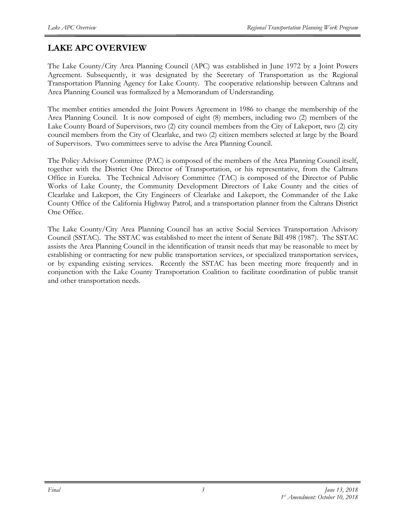## **LAKE APC OVERVIEW**

The Lake County/City Area Planning Council (APC) was established in June 1972 by a Joint Powers Agreement. Subsequently, it was designated by the Secretary of Transportation as the Regional Transportation Planning Agency for Lake County. The cooperative relationship between Caltrans and Area Planning Council was formalized by a Memorandum of Understanding.

The member entities amended the Joint Powers Agreement in 1986 to change the membership of the Area Planning Council. It is now composed of eight (8) members, including two (2) members of the Lake County Board of Supervisors, two (2) city council members from the City of Lakeport, two (2) city council members from the City of Clearlake, and two (2) citizen members selected at large by the Board of Supervisors. Two committees serve to advise the Area Planning Council.

The Policy Advisory Committee (PAC) is composed of the members of the Area Planning Council itself, together with the District One Director of Transportation, or his representative, from the Caltrans Office in Eureka. The Technical Advisory Committee (TAC) is composed of the Director of Public Works of Lake County, the Community Development Directors of Lake County and the cities of Clearlake and Lakeport, the City Engineers of Clearlake and Lakeport, the Commander of the Lake County Office of the California Highway Patrol, and a transportation planner from the Caltrans District One Office.

The Lake County/City Area Planning Council has an active Social Services Transportation Advisory Council (SSTAC). The SSTAC was established to meet the intent of Senate Bill 498 (1987). The SSTAC assists the Area Planning Council in the identification of transit needs that may be reasonable to meet by establishing or contracting for new public transportation services, or specialized transportation services, or by expanding existing services. Recently the SSTAC has been meeting more frequently and in conjunction with the Lake County Transportation Coalition to facilitate coordination of public transit and other transportation needs.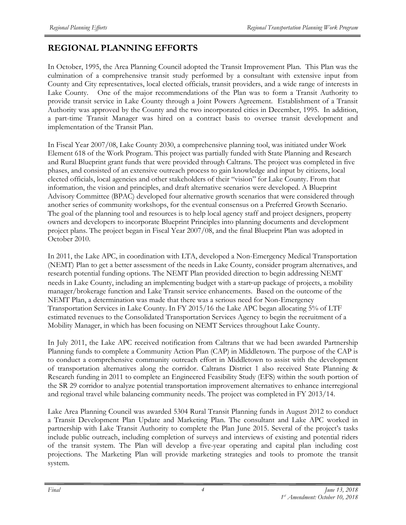## **REGIONAL PLANNING EFFORTS**

In October, 1995, the Area Planning Council adopted the Transit Improvement Plan. This Plan was the culmination of a comprehensive transit study performed by a consultant with extensive input from County and City representatives, local elected officials, transit providers, and a wide range of interests in Lake County. One of the major recommendations of the Plan was to form a Transit Authority to provide transit service in Lake County through a Joint Powers Agreement. Establishment of a Transit Authority was approved by the County and the two incorporated cities in December, 1995. In addition, a part-time Transit Manager was hired on a contract basis to oversee transit development and implementation of the Transit Plan.

In Fiscal Year 2007/08, Lake County 2030, a comprehensive planning tool, was initiated under Work Element 618 of the Work Program. This project was partially funded with State Planning and Research and Rural Blueprint grant funds that were provided through Caltrans. The project was completed in five phases, and consisted of an extensive outreach process to gain knowledge and input by citizens, local elected officials, local agencies and other stakeholders of their "vision" for Lake County. From that information, the vision and principles, and draft alternative scenarios were developed. A Blueprint Advisory Committee (BPAC) developed four alternative growth scenarios that were considered through another series of community workshops, for the eventual consensus on a Preferred Growth Scenario. The goal of the planning tool and resources is to help local agency staff and project designers, property owners and developers to incorporate Blueprint Principles into planning documents and development project plans. The project began in Fiscal Year 2007/08, and the final Blueprint Plan was adopted in October 2010.

In 2011, the Lake APC, in coordination with LTA, developed a Non-Emergency Medical Transportation (NEMT) Plan to get a better assessment of the needs in Lake County, consider program alternatives, and research potential funding options. The NEMT Plan provided direction to begin addressing NEMT needs in Lake County, including an implementing budget with a start-up package of projects, a mobility manager/brokerage function and Lake Transit service enhancements. Based on the outcome of the NEMT Plan, a determination was made that there was a serious need for Non-Emergency Transportation Services in Lake County. In FY 2015/16 the Lake APC began allocating 5% of LTF estimated revenues to the Consolidated Transportation Services Agency to begin the recruitment of a Mobility Manager, in which has been focusing on NEMT Services throughout Lake County.

In July 2011, the Lake APC received notification from Caltrans that we had been awarded Partnership Planning funds to complete a Community Action Plan (CAP) in Middletown. The purpose of the CAP is to conduct a comprehensive community outreach effort in Middletown to assist with the development of transportation alternatives along the corridor. Caltrans District 1 also received State Planning & Research funding in 2011 to complete an Engineered Feasibility Study (EFS) within the south portion of the SR 29 corridor to analyze potential transportation improvement alternatives to enhance interregional and regional travel while balancing community needs. The project was completed in FY 2013/14.

Lake Area Planning Council was awarded 5304 Rural Transit Planning funds in August 2012 to conduct a Transit Development Plan Update and Marketing Plan. The consultant and Lake APC worked in partnership with Lake Transit Authority to complete the Plan June 2015. Several of the project's tasks include public outreach, including completion of surveys and interviews of existing and potential riders of the transit system. The Plan will develop a five-year operating and capital plan including cost projections. The Marketing Plan will provide marketing strategies and tools to promote the transit system.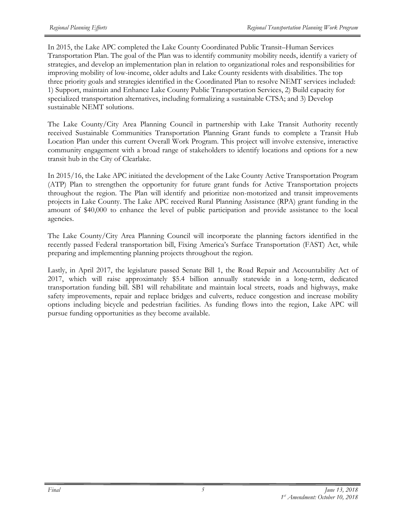In 2015, the Lake APC completed the Lake County Coordinated Public Transit–Human Services Transportation Plan. The goal of the Plan was to identify community mobility needs, identify a variety of strategies, and develop an implementation plan in relation to organizational roles and responsibilities for improving mobility of low-income, older adults and Lake County residents with disabilities. The top three priority goals and strategies identified in the Coordinated Plan to resolve NEMT services included: 1) Support, maintain and Enhance Lake County Public Transportation Services, 2) Build capacity for specialized transportation alternatives, including formalizing a sustainable CTSA; and 3) Develop sustainable NEMT solutions.

The Lake County/City Area Planning Council in partnership with Lake Transit Authority recently received Sustainable Communities Transportation Planning Grant funds to complete a Transit Hub Location Plan under this current Overall Work Program. This project will involve extensive, interactive community engagement with a broad range of stakeholders to identify locations and options for a new transit hub in the City of Clearlake.

In 2015/16, the Lake APC initiated the development of the Lake County Active Transportation Program (ATP) Plan to strengthen the opportunity for future grant funds for Active Transportation projects throughout the region. The Plan will identify and prioritize non-motorized and transit improvements projects in Lake County. The Lake APC received Rural Planning Assistance (RPA) grant funding in the amount of \$40,000 to enhance the level of public participation and provide assistance to the local agencies.

The Lake County/City Area Planning Council will incorporate the planning factors identified in the recently passed Federal transportation bill, Fixing America's Surface Transportation (FAST) Act, while preparing and implementing planning projects throughout the region.

Lastly, in April 2017, the legislature passed Senate Bill 1, the Road Repair and Accountability Act of 2017, which will raise approximately \$5.4 billion annually statewide in a long-term, dedicated transportation funding bill. SB1 will rehabilitate and maintain local streets, roads and highways, make safety improvements, repair and replace bridges and culverts, reduce congestion and increase mobility options including bicycle and pedestrian facilities. As funding flows into the region, Lake APC will pursue funding opportunities as they become available.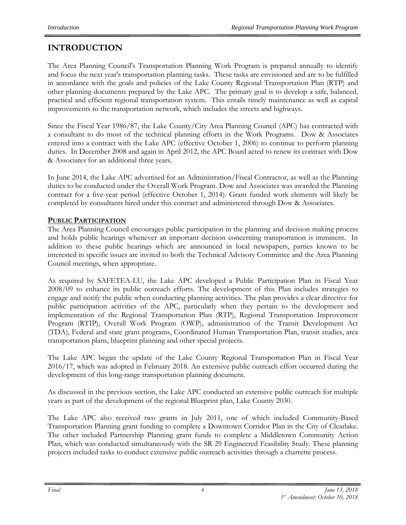## **INTRODUCTION**

The Area Planning Council's Transportation Planning Work Program is prepared annually to identify and focus the next year's transportation planning tasks. These tasks are envisioned and are to be fulfilled in accordance with the goals and policies of the Lake County Regional Transportation Plan (RTP) and other planning documents prepared by the Lake APC. The primary goal is to develop a safe, balanced, practical and efficient regional transportation system. This entails timely maintenance as well as capital improvements to the transportation network, which includes the streets and highways.

Since the Fiscal Year 1986/87, the Lake County/City Area Planning Council (APC) has contracted with a consultant to do most of the technical planning efforts in the Work Programs. Dow & Associates entered into a contract with the Lake APC (effective October 1, 2006) to continue to perform planning duties. In December 2008 and again in April 2012, the APC Board acted to renew its contract with Dow & Associates for an additional three years.

In June 2014, the Lake APC advertised for an Administration/Fiscal Contractor, as well as the Planning duties to be conducted under the Overall Work Program. Dow and Associates was awarded the Planning contract for a five-year period (effective October 1, 2014). Grant funded work elements will likely be completed by consultants hired under this contract and administered through Dow & Associates.

#### **PUBLIC PARTICIPATION**

The Area Planning Council encourages public participation in the planning and decision making process and holds public hearings whenever an important decision concerning transportation is imminent. In addition to these public hearings which are announced in local newspapers, parties known to be interested in specific issues are invited to both the Technical Advisory Committee and the Area Planning Council meetings, when appropriate.

As required by SAFETEA-LU, the Lake APC developed a Public Participation Plan in Fiscal Year 2008/09 to enhance its public outreach efforts. The development of this Plan includes strategies to engage and notify the public when conducting planning activities. The plan provides a clear directive for public participation activities of the APC, particularly when they pertain to the development and implementation of the Regional Transportation Plan (RTP), Regional Transportation Improvement Program (RTIP), Overall Work Program (OWP), administration of the Transit Development Act (TDA), Federal and state grant programs, Coordinated Human Transportation Plan, transit studies, area transportation plans, blueprint planning and other special projects.

The Lake APC began the update of the Lake County Regional Transportation Plan in Fiscal Year 2016/17, which was adopted in February 2018. An extensive public outreach effort occurred during the development of this long-range transportation planning document.

As discussed in the previous section, the Lake APC conducted an extensive public outreach for multiple years as part of the development of the regional Blueprint plan, Lake County 2030.

The Lake APC also received two grants in July 2011, one of which included Community-Based Transportation Planning grant funding to complete a Downtown Corridor Plan in the City of Clearlake. The other included Partnership Planning grant funds to complete a Middletown Community Action Plan, which was conducted simultaneously with the SR 29 Engineered Feasibility Study. These planning projects included tasks to conduct extensive public outreach activities through a charrette process.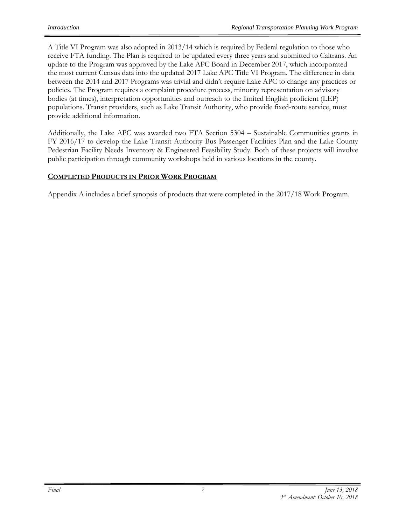A Title VI Program was also adopted in 2013/14 which is required by Federal regulation to those who receive FTA funding. The Plan is required to be updated every three years and submitted to Caltrans. An update to the Program was approved by the Lake APC Board in December 2017, which incorporated the most current Census data into the updated 2017 Lake APC Title VI Program. The difference in data between the 2014 and 2017 Programs was trivial and didn't require Lake APC to change any practices or policies. The Program requires a complaint procedure process, minority representation on advisory bodies (at times), interpretation opportunities and outreach to the limited English proficient (LEP) populations. Transit providers, such as Lake Transit Authority, who provide fixed-route service, must provide additional information.

Additionally, the Lake APC was awarded two FTA Section 5304 – Sustainable Communities grants in FY 2016/17 to develop the Lake Transit Authority Bus Passenger Facilities Plan and the Lake County Pedestrian Facility Needs Inventory & Engineered Feasibility Study. Both of these projects will involve public participation through community workshops held in various locations in the county.

#### **COMPLETED PRODUCTS IN PRIOR WORK PROGRAM**

Appendix A includes a brief synopsis of products that were completed in the 2017/18 Work Program.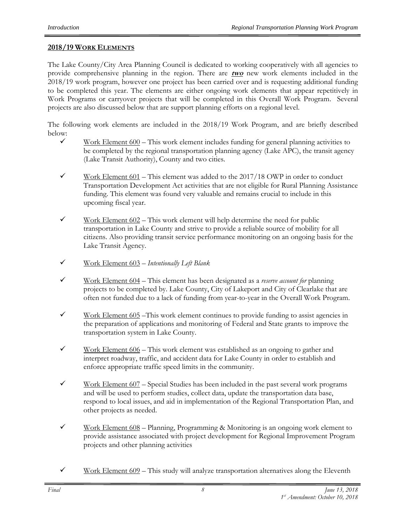#### **2018/19 WORK ELEMENTS**

The Lake County/City Area Planning Council is dedicated to working cooperatively with all agencies to provide comprehensive planning in the region. There are **two** new work elements included in the 2018/19 work program, however one project has been carried over and is requesting additional funding to be completed this year. The elements are either ongoing work elements that appear repetitively in Work Programs or carryover projects that will be completed in this Overall Work Program. Several projects are also discussed below that are support planning efforts on a regional level.

The following work elements are included in the 2018/19 Work Program, and are briefly described below:

- $\checkmark$  Work Element 600 This work element includes funding for general planning activities to be completed by the regional transportation planning agency (Lake APC), the transit agency (Lake Transit Authority), County and two cities.
- $\checkmark$  Work Element 601 This element was added to the 2017/18 OWP in order to conduct Transportation Development Act activities that are not eligible for Rural Planning Assistance funding. This element was found very valuable and remains crucial to include in this upcoming fiscal year.
- $\checkmark$  Work Element 602 This work element will help determine the need for public transportation in Lake County and strive to provide a reliable source of mobility for all citizens. Also providing transit service performance monitoring on an ongoing basis for the Lake Transit Agency.
- Work Element 603 *Intentionally Left Blank*
- Work Element 604 This element has been designated as a *reserve account for* planning projects to be completed by. Lake County, City of Lakeport and City of Clearlake that are often not funded due to a lack of funding from year-to-year in the Overall Work Program.
- $\checkmark$  Work Element 605 This work element continues to provide funding to assist agencies in the preparation of applications and monitoring of Federal and State grants to improve the transportation system in Lake County.
- $\checkmark$  Work Element 606 This work element was established as an ongoing to gather and interpret roadway, traffic, and accident data for Lake County in order to establish and enforce appropriate traffic speed limits in the community.
- $\checkmark$  Work Element 607 Special Studies has been included in the past several work programs and will be used to perform studies, collect data, update the transportation data base, respond to local issues, and aid in implementation of the Regional Transportation Plan, and other projects as needed.
- $\checkmark$  Work Element 608 Planning, Programming & Monitoring is an ongoing work element to provide assistance associated with project development for Regional Improvement Program projects and other planning activities
- $\checkmark$  Work Element 609 This study will analyze transportation alternatives along the Eleventh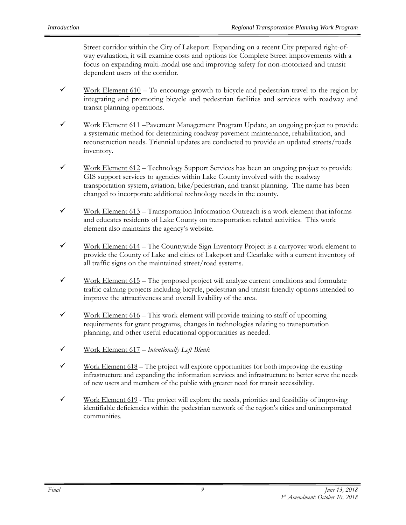Street corridor within the City of Lakeport. Expanding on a recent City prepared right-ofway evaluation, it will examine costs and options for Complete Street improvements with a focus on expanding multi-modal use and improving safety for non-motorized and transit dependent users of the corridor.

- $\checkmark$  Work Element 610 To encourage growth to bicycle and pedestrian travel to the region by integrating and promoting bicycle and pedestrian facilities and services with roadway and transit planning operations.
- $\checkmark$  Work Element 611 Pavement Management Program Update, an ongoing project to provide a systematic method for determining roadway pavement maintenance, rehabilitation, and reconstruction needs. Triennial updates are conducted to provide an updated streets/roads inventory.
- $\checkmark$  Work Element 612 Technology Support Services has been an ongoing project to provide GIS support services to agencies within Lake County involved with the roadway transportation system, aviation, bike/pedestrian, and transit planning. The name has been changed to incorporate additional technology needs in the county.
- $\checkmark$  Work Element 613 Transportation Information Outreach is a work element that informs and educates residents of Lake County on transportation related activities. This work element also maintains the agency's website.
- $\checkmark$  Work Element 614 The Countywide Sign Inventory Project is a carryover work element to provide the County of Lake and cities of Lakeport and Clearlake with a current inventory of all traffic signs on the maintained street/road systems.
- $\checkmark$  Work Element 615 The proposed project will analyze current conditions and formulate traffic calming projects including bicycle, pedestrian and transit friendly options intended to improve the attractiveness and overall livability of the area.
- $\checkmark$  Work Element 616 This work element will provide training to staff of upcoming requirements for grant programs, changes in technologies relating to transportation planning, and other useful educational opportunities as needed.
- Work Element 617 *Intentionally Left Blank*
- $\checkmark$  Work Element 618 The project will explore opportunities for both improving the existing infrastructure and expanding the information services and infrastructure to better serve the needs of new users and members of the public with greater need for transit accessibility.
- $\checkmark$  Work Element 619 The project will explore the needs, priorities and feasibility of improving identifiable deficiencies within the pedestrian network of the region's cities and unincorporated communities.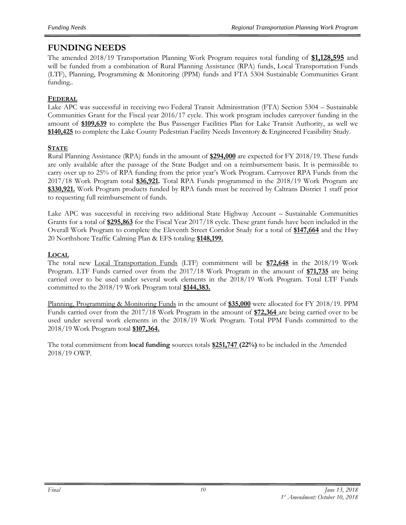### **FUNDING NEEDS**

The amended 2018/19 Transportation Planning Work Program requires total funding of **\$1,128,595** and will be funded from a combination of Rural Planning Assistance (RPA) funds, Local Transportation Funds (LTF), Planning, Programming & Monitoring (PPM) funds and FTA 5304 Sustainable Communities Grant funding..

#### **FEDERAL**

Lake APC was successful in receiving two Federal Transit Administration (FTA) Section 5304 – Sustainable Communities Grant for the Fiscal year 2016/17 cycle. This work program includes carryover funding in the amount of **\$109,639** to complete the Bus Passenger Facilities Plan for Lake Transit Authority, as well we **\$140,425** to complete the Lake County Pedestrian Facility Needs Inventory & Engineered Feasibility Study.

#### **STATE**

Rural Planning Assistance (RPA) funds in the amount of **\$294,000** are expected for FY 2018/19. These funds are only available after the passage of the State Budget and on a reimbursement basis. It is permissible to carry over up to 25% of RPA funding from the prior year's Work Program. Carryover RPA Funds from the 2017/18 Work Program total **\$36,921.** Total RPA Funds programmed in the 2018/19 Work Program are **\$330,921.** Work Program products funded by RPA funds must be received by Caltrans District 1 staff prior to requesting full reimbursement of funds.

Lake APC was successful in receiving two additional State Highway Account – Sustainable Communities Grants for a total of **\$295,863** for the Fiscal Year 2017/18 cycle. These grant funds have been included in the Overall Work Program to complete the Eleventh Street Corridor Study for a total of **\$147,664** and the Hwy 20 Northshore Traffic Calming Plan & EFS totaling **\$148,199.**

#### **LOCAL**

The total new Local Transportation Funds (LTF) commitment will be **\$72,648** in the 2018/19 Work Program. LTF Funds carried over from the 2017/18 Work Program in the amount of **\$71,735** are being carried over to be used under several work elements in the 2018/19 Work Program. Total LTF Funds committed to the 2018/19 Work Program total **\$144,383.**

Planning, Programming & Monitoring Funds in the amount of **\$35,000** were allocated for FY 2018/19. PPM Funds carried over from the 2017/18 Work Program in the amount of **\$72,364** are being carried over to be used under several work elements in the 2018/19 Work Program. Total PPM Funds committed to the 2018/19 Work Program total **\$107,364.**

The total commitment from **local funding** sources totals **\$251,747 (22%)** to be included in the Amended 2018/19 OWP.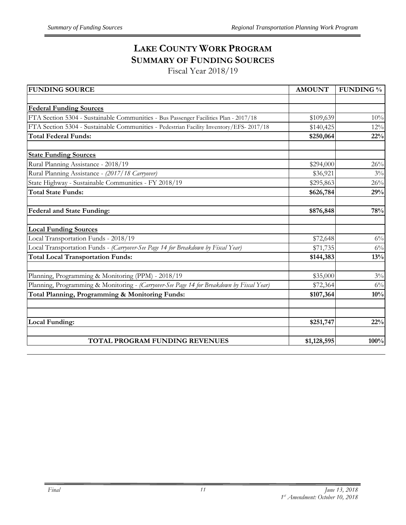## **LAKE COUNTY WORK PROGRAM SUMMARY OF FUNDING SOURCES**

Fiscal Year 2018/19

| <b>FUNDING SOURCE</b>                                                                     | <b>AMOUNT</b> | <b>FUNDING</b> % |
|-------------------------------------------------------------------------------------------|---------------|------------------|
|                                                                                           |               |                  |
| <b>Federal Funding Sources</b>                                                            |               |                  |
| FTA Section 5304 - Sustainable Communities - Bus Passenger Facilities Plan - 2017/18      | \$109,639     | $10\%$           |
| FTA Section 5304 - Sustainable Communities - Pedestrian Facility Inventory/EFS-2017/18    | \$140,425     | 12%              |
| <b>Total Federal Funds:</b>                                                               | \$250,064     | 22%              |
| <b>State Funding Sources</b>                                                              |               |                  |
| Rural Planning Assistance - 2018/19                                                       | \$294,000     | 26%              |
| Rural Planning Assistance - (2017/18 Carryover)                                           | \$36,921      | $3\%$            |
| State Highway - Sustainable Communities - FY 2018/19                                      | \$295,863     | 26%              |
| <b>Total State Funds:</b>                                                                 | \$626,784     | 29%              |
| Federal and State Funding:                                                                | \$876,848     | 78%              |
| <b>Local Funding Sources</b>                                                              |               |                  |
| Local Transportation Funds - 2018/19                                                      | \$72,648      | $6\%$            |
| Local Transportation Funds - (Carryover-See Page 14 for Breakdown by Fiscal Year)         | \$71,735      | $6\%$            |
| <b>Total Local Transportation Funds:</b>                                                  | \$144,383     | 13%              |
| Planning, Programming & Monitoring (PPM) - 2018/19                                        | \$35,000      | $3\%$            |
| Planning, Programming & Monitoring - (Carryover-See Page 14 for Breakdown by Fiscal Year) | \$72,364      | $6\%$            |
| Total Planning, Programming & Monitoring Funds:                                           | \$107,364     | 10%              |
|                                                                                           |               |                  |
| Local Funding:                                                                            | \$251,747     | 22%              |
| TOTAL PROGRAM FUNDING REVENUES                                                            | \$1,128,595   | 100%             |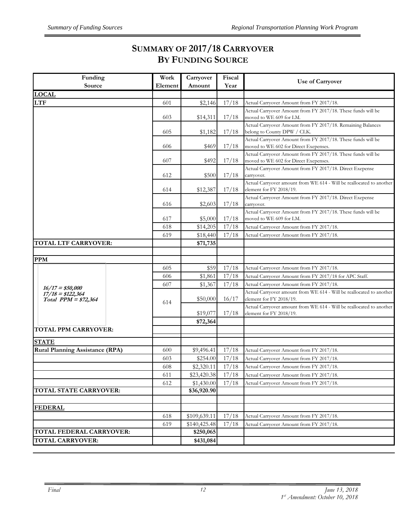## **SUMMARY OF 2017/18 CARRYOVER BY FUNDING SOURCE**

| Funding                                     | Work    | Carryover    | Fiscal | <b>Use of Carryover</b>                                                                               |
|---------------------------------------------|---------|--------------|--------|-------------------------------------------------------------------------------------------------------|
| Source                                      | Element | Amount       | Year   |                                                                                                       |
| <b>LOCAL</b>                                |         |              |        |                                                                                                       |
| <b>LTF</b>                                  | 601     | \$2,146      | 17/18  | Actual Carryover Amount from FY 2017/18.                                                              |
|                                             | 603     | \$14,311     | 17/18  | Actual Carryover Amount from FY 2017/18. These funds will be<br>moved to WE 609 for LM.               |
|                                             | 605     | \$1,182      | 17/18  | Actual Carryover Amount from FY 2017/18. Remaining Balances<br>belong to County DPW / CLK.            |
|                                             | 606     | \$469        | 17/18  | Actual Carryover Amount from FY 2017/18. These funds will be<br>moved to WE 602 for Direct Exepenses. |
|                                             | 607     | \$492        | 17/18  | Actual Carryover Amount from FY 2017/18. These funds will be<br>moved to WE 602 for Direct Exepenses. |
|                                             | 612     | \$500        | 17/18  | Actual Carryover Amount from FY 2017/18. Direct Exepense<br>carryover.                                |
|                                             | 614     | \$12,387     | 17/18  | Actual Carryover amount from WE 614 - Will be reallocated to another<br>element for FY 2018/19.       |
|                                             | 616     | \$2,603      | 17/18  | Actual Carryover Amount from FY 2017/18. Direct Exepense<br>carryover.                                |
|                                             | 617     | \$5,000      | 17/18  | Actual Carryover Amount from FY 2017/18. These funds will be<br>moved to WE 609 for LM.               |
|                                             | 618     | \$14,205     | 17/18  | Actual Carryover Amount from FY 2017/18.                                                              |
|                                             | 619     | \$18,440     | 17/18  | Actual Carryover Amount from FY 2017/18.                                                              |
| TOTAL LTF CARRYOVER:                        |         | \$71,735     |        |                                                                                                       |
|                                             |         |              |        |                                                                                                       |
| <b>PPM</b>                                  |         |              |        |                                                                                                       |
|                                             | 605     | \$59         | 17/18  | Actual Carryover Amount from FY 2017/18.                                                              |
|                                             | 606     | \$1,861      | 17/18  | Actual Carryover Amount from FY 2017/18 for APC Staff.                                                |
| $16/17 = $50,000$                           | 607     | \$1,367      | 17/18  | Actual Carryover Amount from FY 2017/18.                                                              |
| $17/18 = $122,364$<br>Total $PPM = $72,364$ | 614     | \$50,000     | 16/17  | Actual Carryover amount from WE 614 - Will be reallocated to another<br>element for FY 2018/19.       |
|                                             |         | \$19,077     | 17/18  | Actual Carryover amount from WE 614 - Will be reallocated to another<br>element for FY 2018/19.       |
|                                             |         | \$72,364     |        |                                                                                                       |
| TOTAL PPM CARRYOVER:                        |         |              |        |                                                                                                       |
| <b>STATE</b>                                |         |              |        |                                                                                                       |
| <b>Rural Planning Assistance (RPA)</b>      | 600     | \$9,496.41   | 17/18  | Actual Carryover Amount from FY 2017/18.                                                              |
|                                             | 603     | \$254.00     | 17/18  | Actual Carryover Amount from FY 2017/18.                                                              |
|                                             | 608     | \$2,320.11   | 17/18  | Actual Carryover Amount from FY 2017/18.                                                              |
|                                             | 611     | \$23,420.38  | 17/18  | Actual Carryover Amount from FY 2017/18.                                                              |
|                                             | 612     | \$1,430.00   | 17/18  | Actual Carryover Amount from FY 2017/18.                                                              |
| TOTAL STATE CARRYOVER:                      |         | \$36,920.90  |        |                                                                                                       |
| <b>FEDERAL</b>                              |         |              |        |                                                                                                       |
|                                             | 618     | \$109,639.11 | 17/18  | Actual Carryover Amount from FY 2017/18.                                                              |
|                                             | 619     | \$140,425.48 | 17/18  | Actual Carryover Amount from FY 2017/18.                                                              |
| TOTAL FEDERAL CARRYOVER:                    |         | \$250,065    |        |                                                                                                       |
| <b>TOTAL CARRYOVER:</b>                     |         | \$431,084    |        |                                                                                                       |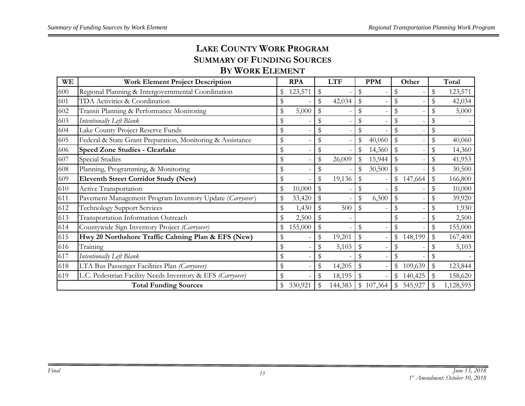## **LAKE COUNTY WORK PROGRAM SUMMARY OF FUNDING SOURCES**

## **BY WORK ELEMENT**

| WE  | <b>Work Element Project Description</b>                    | <b>RPA</b>    | <b>LTF</b>   |                           | <b>PPM</b> | Other         | Total           |
|-----|------------------------------------------------------------|---------------|--------------|---------------------------|------------|---------------|-----------------|
| 600 | Regional Planning & Intergovernmental Coordination         | 123,571       | \$           | \$                        |            |               | \$<br>123,571   |
| 601 | TDA Activities & Coordination                              | \$            | \$<br>42,034 | $\frac{1}{2}$             |            |               | \$<br>42,034    |
| 602 | Transit Planning & Performance Monitoring                  | \$<br>5,000   | \$           | $\boldsymbol{\mathsf{S}}$ |            | \$            | \$<br>5,000     |
| 603 | Intentionally Left Blank                                   | \$            | \$           | \$                        |            |               |                 |
| 604 | Lake County Project Reserve Funds                          | \$            | \$           | \$                        |            |               | \$              |
| 605 | Federal & State Grant Preparation, Monitoring & Assistance | \$            | \$           | \$                        | 40,060     | \$            | \$<br>40,060    |
| 606 | <b>Speed Zone Studies - Clearlake</b>                      | \$            | \$           | \$                        | 14,360     | \$            | \$<br>14,360    |
| 607 | Special Studies                                            | \$            | \$<br>26,009 | $\mathbb{S}$              | 15,944     |               | \$<br>41,953    |
| 608 | Planning, Programming, & Monitoring                        | \$            | \$           | \$                        | 30,500     | \$            | \$<br>30,500    |
| 609 | <b>Eleventh Street Corridor Study (New)</b>                | \$            | \$<br>19,136 | $\boldsymbol{\mathsf{S}}$ |            | \$147,664     | \$<br>166,800   |
| 610 | Active Transportation                                      | \$<br>10,000  | \$           | \$                        |            |               | \$<br>10,000    |
| 611 | Pavement Management Program Inventory Update (Carryover)   | \$<br>33,420  | \$           | \$                        | 6,500      | \$            | \$<br>39,920    |
| 612 | <b>Technology Support Services</b>                         | \$<br>1,430   | \$<br>500    | $\$\$                     |            | \$            | \$<br>1,930     |
| 613 | Transportation Information Outreach                        | \$<br>2,500   |              |                           |            |               | \$<br>2,500     |
| 614 | Countywide Sign Inventory Project (Carryover)              | \$<br>155,000 | \$           | \$                        |            |               | \$<br>155,000   |
| 615 | Hwy 20 Northshore Traffic Calming Plan & EFS (New)         | \$            | \$<br>19,201 | $\$\$                     |            | \$<br>148,199 | 167,400         |
| 616 | Training                                                   | \$            | \$<br>5,103  | $\mathbb{S}$              |            |               | \$<br>5,103     |
| 617 | Intentionally Left Blank                                   |               |              | \$                        |            |               |                 |
| 618 | LTA Bus Passenger Facilities Plan (Carryover)              | \$            | \$<br>14,205 | $\mathbb{S}$              |            | \$<br>109,639 | 123,844         |
| 619 | L.C. Pedestrian Facility Needs Inventory & EFS (Carryover) | \$            | \$<br>18,195 | $\mathbb{S}$              |            | \$<br>140,425 | 158,620         |
|     | <b>Total Funding Sources</b>                               | \$<br>330,921 | 144,383      |                           | \$107,364  | \$<br>545,927 | \$<br>1,128,595 |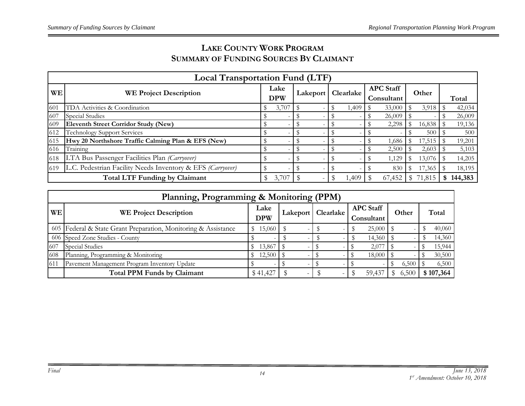## **LAKE COUNTY WORK PROGRAM SUMMARY OF FUNDING SOURCES BY CLAIMANT**

|           | <b>Local Transportation Fund (LTF)</b>                     |  |                    |  |                      |  |       |  |                                |  |        |  |         |
|-----------|------------------------------------------------------------|--|--------------------|--|----------------------|--|-------|--|--------------------------------|--|--------|--|---------|
| <b>WE</b> | <b>WE Project Description</b>                              |  | Lake<br><b>DPW</b> |  | Lakeport   Clearlake |  |       |  | <b>APC</b> Staff<br>Consultant |  | Other  |  | Total   |
| 601       | TDA Activities & Coordination                              |  | 3,707              |  |                      |  | 1,409 |  | 33,000                         |  | 3,918  |  | 42,034  |
| 607       | Special Studies                                            |  |                    |  |                      |  |       |  | 26,009                         |  |        |  | 26,009  |
| 609       | <b>Eleventh Street Corridor Study (New)</b>                |  |                    |  |                      |  |       |  | 2,298                          |  | 16,838 |  | 19,136  |
| 612       | <b>Technology Support Services</b>                         |  |                    |  |                      |  |       |  |                                |  | 500    |  | 500     |
| 615       | Hwy 20 Northshore Traffic Calming Plan & EFS (New)         |  |                    |  |                      |  |       |  | 1,686                          |  | 17,515 |  | 19,201  |
| 616       | Training                                                   |  |                    |  |                      |  |       |  | 2,500                          |  | 2,603  |  | 5,103   |
| 618       | LTA Bus Passenger Facilities Plan (Carryover)              |  |                    |  |                      |  |       |  | 1,129                          |  | 13,076 |  | 14,205  |
| 619       | L.C. Pedestrian Facility Needs Inventory & EFS (Carryover) |  |                    |  |                      |  |       |  | 830                            |  | 17,365 |  | 18,195  |
|           | <b>Total LTF Funding by Claimant</b>                       |  | 3,707              |  |                      |  | 1,409 |  | 67,452                         |  | 71,815 |  | 144,383 |

|      | Planning, Programming & Monitoring (PPM)                       |            |   |                          |                  |       |           |  |  |  |  |
|------|----------------------------------------------------------------|------------|---|--------------------------|------------------|-------|-----------|--|--|--|--|
| WЕ   | <b>WE Project Description</b>                                  |            |   | Lakeport   Clearlake     | <b>APC Staff</b> | Other | Total     |  |  |  |  |
|      |                                                                | <b>DPW</b> |   |                          | Consultant       |       |           |  |  |  |  |
|      | 605 Federal & State Grant Preparation, Monitoring & Assistance | 15,060     |   |                          | $25,000$ \$      |       | 40,060    |  |  |  |  |
|      | 606 Speed Zone Studies - County                                |            |   |                          | 14,360           |       | 14,360    |  |  |  |  |
| 1607 | Special Studies                                                | 13,867     |   |                          | 2,077            |       | 15,944    |  |  |  |  |
| 608  | Planning, Programming & Monitoring                             | 12,500     |   |                          | 18,000           |       | 30,500    |  |  |  |  |
| 611  | Pavement Management Program Inventory Update                   |            |   |                          |                  | 6,500 | 6,500     |  |  |  |  |
|      | <b>Total PPM Funds by Claimant</b>                             | \$41,427   | - | $\overline{\phantom{a}}$ | 59,437           | 6,500 | \$107,364 |  |  |  |  |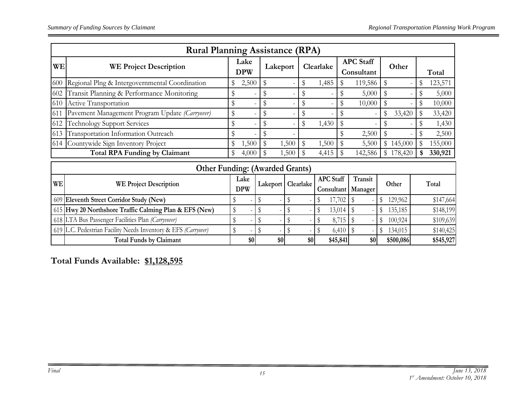|           | <b>Rural Planning Assistance (RPA)</b>                         |                    |    |               |       |             |                  |               |                                |              |                          |              |           |
|-----------|----------------------------------------------------------------|--------------------|----|---------------|-------|-------------|------------------|---------------|--------------------------------|--------------|--------------------------|--------------|-----------|
| WE        | <b>WE Project Description</b>                                  | Lake<br><b>DPW</b> |    | Lakeport      |       |             | Clearlake        |               | <b>APC</b> Staff<br>Consultant |              | Other                    |              | Total     |
| 600       | Regional Plng & Intergovernmental Coordination                 | 2,500              |    | \$            |       | \$          | 1,485            | \$            | 119,586                        | \$           | $\overline{\phantom{a}}$ | \$           | 123,571   |
| 602       | Transit Planning & Performance Monitoring                      | \$                 |    | S             |       | \$          |                  | \$            | 5,000                          | \$           | $\overline{a}$           | \$           | 5,000     |
| 610       | Active Transportation                                          | \$                 |    | S             |       | \$          |                  | \$            | 10,000                         | \$           | $\overline{a}$           | $\mathbb{S}$ | 10,000    |
| 611       | Pavement Management Program Update (Carryover)                 | \$                 |    | \$            |       | \$          |                  | \$            |                                |              | 33,420                   |              | 33,420    |
| 612       | <b>Technology Support Services</b>                             | \$                 |    | S             |       | \$          | 1,430            | \$            |                                | \$           | $\overline{a}$           | \$           | 1,430     |
| 613       | Transportation Information Outreach                            | \$                 |    |               |       |             |                  | \$            | 2,500                          | $\mathbb{S}$ |                          |              | 2,500     |
| 614       | Countywide Sign Inventory Project                              | 1,500              |    | $\mathcal{S}$ | 1,500 | $\mathbb S$ | 1,500            | ${\mathbb S}$ | 5,500                          |              | \$145,000                | $\mathbb S$  | 155,000   |
|           | <b>Total RPA Funding by Claimant</b>                           | \$<br>4,000        |    | ٩             | 1,500 | \$          | 4,415            | \$            | 142,586                        | \$           | 178,420                  | \$           | 330,921   |
|           | <b>Other Funding: (Awarded Grants)</b>                         |                    |    |               |       |             |                  |               |                                |              |                          |              |           |
| <b>WE</b> | <b>WE Project Description</b>                                  | Lake<br><b>DPW</b> |    | Lakeport      |       | Clearlake   | <b>APC</b> Staff |               | Transit<br>Consultant Manager  |              | Other                    |              | Total     |
| 609       | Eleventh Street Corridor Study (New)                           | \$                 | \$ |               | \$    |             |                  | 17,702        | $\sqrt[6]{\frac{1}{2}}$        | \$           | 129,962                  |              | \$147,664 |
|           | 615 Hwy 20 Northshore Traffic Calming Plan & EFS (New)         | \$                 | \$ |               |       |             | S                | 13,014        | \$                             | S            | 135,185                  |              | \$148,199 |
|           | 618 LTA Bus Passenger Facilities Plan (Carryvover)             | \$                 | \$ |               |       |             |                  | 8,715         |                                | \$           | 100,924                  |              | \$109,639 |
|           | 619 L.C. Pedestrian Facility Needs Inventory & EFS (Carryover) | \$                 | \$ |               | \$    |             |                  | 6,410         |                                | \$           | 134,015                  |              | \$140,425 |
|           | <b>Total Funds by Claimant</b>                                 | \$0                |    | \$0           |       | \$0         |                  | \$45,841      | \$0                            |              | \$500,086                |              | \$545,927 |

**Total Funds Available: \$1,128,595**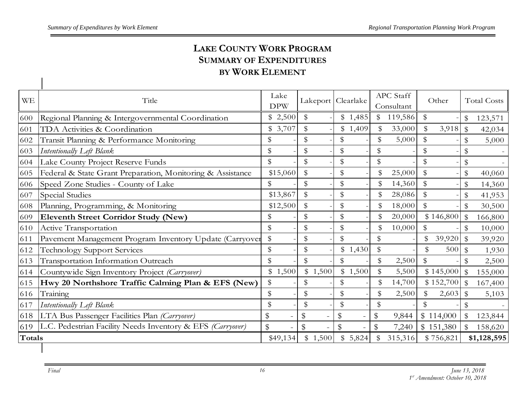## **LAKE COUNTY WORK PROGRAM SUMMARY OF EXPENDITURES BY WORK ELEMENT**

| <b>WE</b> | Title                                                      | Lake<br><b>DPW</b> | Lakeport       | Clearlake     | APC Staff<br>Consultant | Other          | <b>Total Costs</b>       |
|-----------|------------------------------------------------------------|--------------------|----------------|---------------|-------------------------|----------------|--------------------------|
| 600       | Regional Planning & Intergovernmental Coordination         | \$2,500            | \$             | \$1,485       | \$119,586               | \$             | \$<br>123,571            |
| 601       | TDA Activities & Coordination                              | \$3,707            | \$             | \$1,409       | 33,000<br>$\mathcal{S}$ | \$<br>3,918    | ${\mathbb S}$<br>42,034  |
| 602       | Transit Planning & Performance Monitoring                  | \$                 | \$             | \$            | \$<br>5,000             | \$             | \$<br>5,000              |
| 603       | Intentionally Left Blank                                   | \$                 | \$             | \$            | \$                      | \$             | \$                       |
| 604       | Lake County Project Reserve Funds                          | \$                 | \$             | \$            | \$                      | \$             | \$                       |
| 605       | Federal & State Grant Preparation, Monitoring & Assistance | \$15,060           | \$             | \$            | $\mathbb{S}$<br>25,000  | \$             | $\$\$<br>40,060          |
| 606       | Speed Zone Studies - County of Lake                        | \$                 | \$             | \$            | \$<br>14,360            | $\mathfrak{S}$ | \$<br>14,360             |
| 607       | <b>Special Studies</b>                                     | \$13,867           | \$             | \$            | \$<br>28,086            | $\mathbb S$    | \$<br>41,953             |
| 608       | Planning, Programming, & Monitoring                        | \$12,500           | \$             | \$            | \$<br>18,000            | \$             | \$<br>30,500             |
| 609       | <b>Eleventh Street Corridor Study (New)</b>                | \$                 | \$             | \$            | \$<br>20,000            | \$146,800      | $\mathbb{S}$<br>166,800  |
| 610       | Active Transportation                                      | \$                 | \$             | \$            | \$<br>10,000            | \$             | $\mathbb S$<br>10,000    |
| 611       | Pavement Management Program Inventory Update (Carryover    | \$                 | \$             | \$            | \$                      | 39,920<br>\$   | $\mathbb{S}$<br>39,920   |
| 612       | <b>Technology Support Services</b>                         | \$                 | \$             | \$1,430       | \$                      | \$<br>500      | $\mathbb S$<br>1,930     |
| 613       | Transportation Information Outreach                        | \$                 | \$             | \$            | \$<br>2,500             | \$             | 2,500                    |
| 614       | Countywide Sign Inventory Project (Carryover)              | \$1,500            | \$1,500        | \$1,500       | 5,500                   | \$145,000      | $\mathcal{F}$<br>155,000 |
| 615       | Hwy 20 Northshore Traffic Calming Plan & EFS (New)         | \$                 | \$             | \$            | \$<br>14,700            | \$152,700      | $\mathbb S$<br>167,400   |
| 616       | Training                                                   | \$                 | \$             | \$            | \$<br>2,500             | \$<br>2,603    | $\mathcal{S}$<br>5,103   |
| 617       | Intentionally Left Blank                                   | \$                 | \$             | \$            | $\mathbb{S}$            | \$             |                          |
| 618       | LTA Bus Passenger Facilities Plan (Carryover)              | \$                 | $\frac{4}{3}$  | $\frac{1}{2}$ | \$<br>9,844             | \$114,000      | 123,844                  |
| 619       | L.C. Pedestrian Facility Needs Inventory & EFS (Carryover) | $\mathbb S$        | $\mathfrak{P}$ | $\frac{4}{3}$ | $\mathfrak{B}$<br>7,240 | \$151,380      | 158,620                  |
| Totals    |                                                            | \$49,134           | \$1,500        | \$5,824       | 315,316                 | \$756,821      | \$1,128,595              |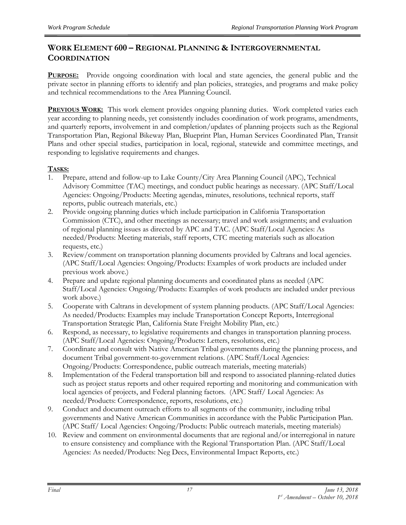#### **WORK ELEMENT 600 – REGIONAL PLANNING & INTERGOVERNMENTAL COORDINATION**

**PURPOSE:** Provide ongoing coordination with local and state agencies, the general public and the private sector in planning efforts to identify and plan policies, strategies, and programs and make policy and technical recommendations to the Area Planning Council.

**PREVIOUS WORK:** This work element provides ongoing planning duties. Work completed varies each year according to planning needs, yet consistently includes coordination of work programs, amendments, and quarterly reports, involvement in and completion/updates of planning projects such as the Regional Transportation Plan, Regional Bikeway Plan, Blueprint Plan, Human Services Coordinated Plan, Transit Plans and other special studies, participation in local, regional, statewide and committee meetings, and responding to legislative requirements and changes.

#### **TASKS:**

- 1. Prepare, attend and follow-up to Lake County/City Area Planning Council (APC), Technical Advisory Committee (TAC) meetings, and conduct public hearings as necessary. (APC Staff/Local Agencies: Ongoing/Products: Meeting agendas, minutes, resolutions, technical reports, staff reports, public outreach materials, etc.)
- 2. Provide ongoing planning duties which include participation in California Transportation Commission (CTC), and other meetings as necessary; travel and work assignments; and evaluation of regional planning issues as directed by APC and TAC. (APC Staff/Local Agencies: As needed/Products: Meeting materials, staff reports, CTC meeting materials such as allocation requests, etc.)
- 3. Review/comment on transportation planning documents provided by Caltrans and local agencies. (APC Staff/Local Agencies: Ongoing/Products: Examples of work products are included under previous work above.)
- 4. Prepare and update regional planning documents and coordinated plans as needed (APC Staff/Local Agencies: Ongoing/Products: Examples of work products are included under previous work above.)
- 5. Cooperate with Caltrans in development of system planning products. (APC Staff/Local Agencies: As needed/Products: Examples may include Transportation Concept Reports, Interregional Transportation Strategic Plan, California State Freight Mobility Plan, etc.)
- 6. Respond, as necessary, to legislative requirements and changes in transportation planning process. (APC Staff/Local Agencies: Ongoing/Products: Letters, resolutions, etc.)
- 7. Coordinate and consult with Native American Tribal governments during the planning process, and document Tribal government-to-government relations. (APC Staff/Local Agencies: Ongoing/Products: Correspondence, public outreach materials, meeting materials)
- 8. Implementation of the Federal transportation bill and respond to associated planning-related duties such as project status reports and other required reporting and monitoring and communication with local agencies of projects, and Federal planning factors. (APC Staff/ Local Agencies: As needed/Products: Correspondence, reports, resolutions, etc.)
- 9. Conduct and document outreach efforts to all segments of the community, including tribal governments and Native American Communities in accordance with the Public Participation Plan. (APC Staff/ Local Agencies: Ongoing/Products: Public outreach materials, meeting materials)
- 10. Review and comment on environmental documents that are regional and/or interregional in nature to ensure consistency and compliance with the Regional Transportation Plan. (APC Staff/Local Agencies: As needed/Products: Neg Decs, Environmental Impact Reports, etc.)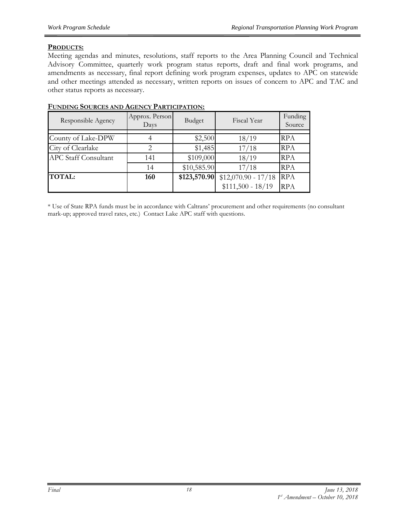#### **PRODUCTS:**

Meeting agendas and minutes, resolutions, staff reports to the Area Planning Council and Technical Advisory Committee, quarterly work program status reports, draft and final work programs, and amendments as necessary, final report defining work program expenses, updates to APC on statewide and other meetings attended as necessary, written reports on issues of concern to APC and TAC and other status reports as necessary.

| Responsible Agency          | Approx. Person<br>Days | Budget       | Fiscal Year          | Funding<br>Source |
|-----------------------------|------------------------|--------------|----------------------|-------------------|
| County of Lake-DPW          |                        | \$2,500      | 18/19                | <b>RPA</b>        |
| City of Clearlake           |                        | \$1,485      | 17/18                | <b>RPA</b>        |
| <b>APC Staff Consultant</b> | 141                    | \$109,000    | 18/19                | <b>RPA</b>        |
|                             | 14                     | \$10,585.90  | 17/18                | <b>RPA</b>        |
| <b>TOTAL:</b>               | 160                    | \$123,570.90 | $$12,070.90 - 17/18$ | <b>RPA</b>        |
|                             |                        |              | $$111,500 - 18/19$   | <b>RPA</b>        |

#### **FUNDING SOURCES AND AGENCY PARTICIPATION:**

\* Use of State RPA funds must be in accordance with Caltrans' procurement and other requirements (no consultant mark-up; approved travel rates, etc.) Contact Lake APC staff with questions.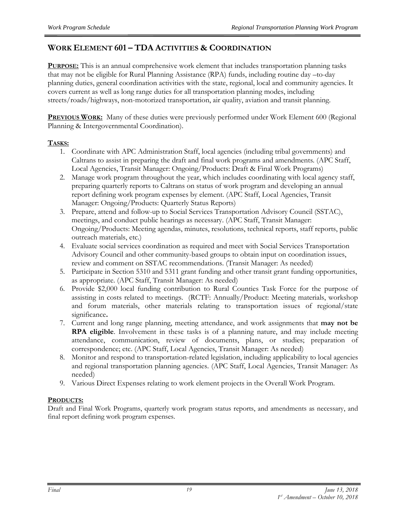#### **WORK ELEMENT 601 – TDA ACTIVITIES & COORDINATION**

**PURPOSE:** This is an annual comprehensive work element that includes transportation planning tasks that may not be eligible for Rural Planning Assistance (RPA) funds, including routine day –to-day planning duties, general coordination activities with the state, regional, local and community agencies. It covers current as well as long range duties for all transportation planning modes, including streets/roads/highways, non-motorized transportation, air quality, aviation and transit planning.

**PREVIOUS WORK:** Many of these duties were previously performed under Work Element 600 (Regional Planning & Intergovernmental Coordination).

#### **TASKS:**

- 1. Coordinate with APC Administration Staff, local agencies (including tribal governments) and Caltrans to assist in preparing the draft and final work programs and amendments. (APC Staff, Local Agencies, Transit Manager: Ongoing/Products: Draft & Final Work Programs)
- 2. Manage work program throughout the year, which includes coordinating with local agency staff, preparing quarterly reports to Caltrans on status of work program and developing an annual report defining work program expenses by element. (APC Staff, Local Agencies, Transit Manager: Ongoing/Products: Quarterly Status Reports)
- 3. Prepare, attend and follow-up to Social Services Transportation Advisory Council (SSTAC), meetings, and conduct public hearings as necessary. (APC Staff, Transit Manager: Ongoing/Products: Meeting agendas, minutes, resolutions, technical reports, staff reports, public outreach materials, etc.)
- 4. Evaluate social services coordination as required and meet with Social Services Transportation Advisory Council and other community-based groups to obtain input on coordination issues, review and comment on SSTAC recommendations. (Transit Manager: As needed)
- 5. Participate in Section 5310 and 5311 grant funding and other transit grant funding opportunities, as appropriate. (APC Staff, Transit Manager: As needed)
- 6. Provide \$2,000 local funding contribution to Rural Counties Task Force for the purpose of assisting in costs related to meetings. (RCTF: Annually/Product: Meeting materials, workshop and forum materials, other materials relating to transportation issues of regional/state significance**.**
- 7. Current and long range planning, meeting attendance, and work assignments that **may not be RPA eligible**. Involvement in these tasks is of a planning nature, and may include meeting attendance, communication, review of documents, plans, or studies; preparation of correspondence; etc. (APC Staff, Local Agencies, Transit Manager: As needed)
- 8. Monitor and respond to transportation-related legislation, including applicability to local agencies and regional transportation planning agencies. (APC Staff, Local Agencies, Transit Manager: As needed)
- 9. Various Direct Expenses relating to work element projects in the Overall Work Program.

#### **PRODUCTS:**

Draft and Final Work Programs, quarterly work program status reports, and amendments as necessary, and final report defining work program expenses.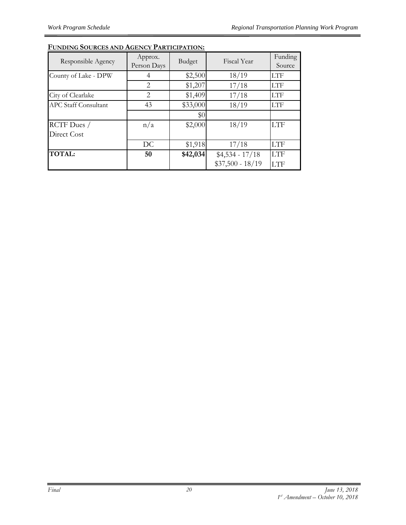| Responsible Agency          | Approx.<br>Person Days | Budget   | Fiscal Year       | Funding<br>Source |
|-----------------------------|------------------------|----------|-------------------|-------------------|
| County of Lake - DPW        |                        | \$2,500  | 18/19             | LTF               |
|                             | $\mathcal{L}$          | \$1,207  | 17/18             | LTF               |
| City of Clearlake           | 2                      | \$1,409  | 17/18             | <b>LTF</b>        |
| <b>APC Staff Consultant</b> | 43                     | \$33,000 | 18/19             | LTF               |
|                             |                        | \$0      |                   |                   |
| RCTF Dues /                 | n/a                    | \$2,000  | 18/19             | <b>LTF</b>        |
| Direct Cost                 |                        |          |                   |                   |
|                             | DC                     | \$1,918  | 17/18             | <b>LTF</b>        |
| <b>TOTAL:</b>               | 50                     | \$42,034 | $$4,534 - 17/18$  | <b>LTF</b>        |
|                             |                        |          | $$37,500 - 18/19$ | <b>LTF</b>        |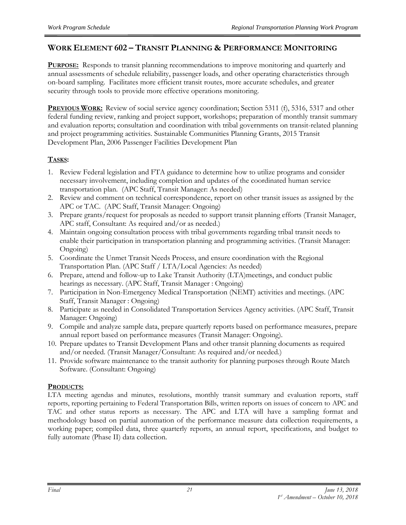#### **WORK ELEMENT 602 – TRANSIT PLANNING & PERFORMANCE MONITORING**

**PURPOSE:** Responds to transit planning recommendations to improve monitoring and quarterly and annual assessments of schedule reliability, passenger loads, and other operating characteristics through on-board sampling. Facilitates more efficient transit routes, more accurate schedules, and greater security through tools to provide more effective operations monitoring.

**PREVIOUS WORK:** Review of social service agency coordination; Section 5311 (f), 5316, 5317 and other federal funding review, ranking and project support, workshops; preparation of monthly transit summary and evaluation reports; consultation and coordination with tribal governments on transit-related planning and project programming activities. Sustainable Communities Planning Grants, 2015 Transit Development Plan, 2006 Passenger Facilities Development Plan

#### **TASKS:**

- 1. Review Federal legislation and FTA guidance to determine how to utilize programs and consider necessary involvement, including completion and updates of the coordinated human service transportation plan. (APC Staff, Transit Manager: As needed)
- 2. Review and comment on technical correspondence, report on other transit issues as assigned by the APC or TAC. (APC Staff, Transit Manager: Ongoing)
- 3. Prepare grants/request for proposals as needed to support transit planning efforts (Transit Manager, APC staff, Consultant: As required and/or as needed.)
- 4. Maintain ongoing consultation process with tribal governments regarding tribal transit needs to enable their participation in transportation planning and programming activities. (Transit Manager: Ongoing)
- 5. Coordinate the Unmet Transit Needs Process, and ensure coordination with the Regional Transportation Plan. (APC Staff / LTA/Local Agencies: As needed)
- 6. Prepare, attend and follow-up to Lake Transit Authority (LTA)meetings, and conduct public hearings as necessary. (APC Staff, Transit Manager : Ongoing)
- 7. Participation in Non-Emergency Medical Transportation (NEMT) activities and meetings. (APC Staff, Transit Manager : Ongoing)
- 8. Participate as needed in Consolidated Transportation Services Agency activities. (APC Staff, Transit Manager: Ongoing)
- 9. Compile and analyze sample data, prepare quarterly reports based on performance measures, prepare annual report based on performance measures (Transit Manager: Ongoing).
- 10. Prepare updates to Transit Development Plans and other transit planning documents as required and/or needed. (Transit Manager/Consultant: As required and/or needed.)
- 11. Provide software maintenance to the transit authority for planning purposes through Route Match Software. (Consultant: Ongoing)

#### **PRODUCTS:**

LTA meeting agendas and minutes, resolutions, monthly transit summary and evaluation reports, staff reports, reporting pertaining to Federal Transportation Bills, written reports on issues of concern to APC and TAC and other status reports as necessary. The APC and LTA will have a sampling format and methodology based on partial automation of the performance measure data collection requirements, a working paper; compiled data, three quarterly reports, an annual report, specifications, and budget to fully automate (Phase II) data collection.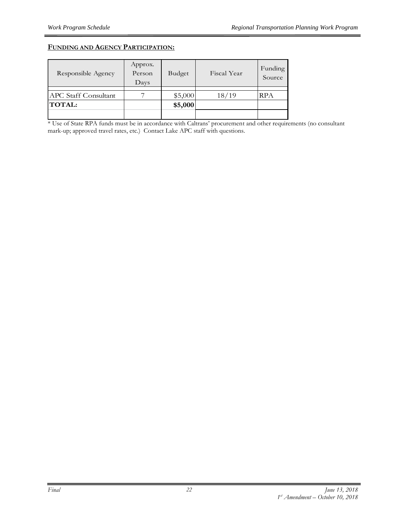#### **FUNDING AND AGENCY PARTICIPATION:**

| Responsible Agency          | Approx.<br>Person<br>Days | <b>Budget</b> | Fiscal Year | Funding<br>Source |
|-----------------------------|---------------------------|---------------|-------------|-------------------|
| <b>APC</b> Staff Consultant |                           | \$5,000       | 18/19       | RPA               |
| <b>TOTAL:</b>               |                           | \$5,000       |             |                   |
|                             |                           |               |             |                   |

\* Use of State RPA funds must be in accordance with Caltrans' procurement and other requirements (no consultant mark-up; approved travel rates, etc.) Contact Lake APC staff with questions.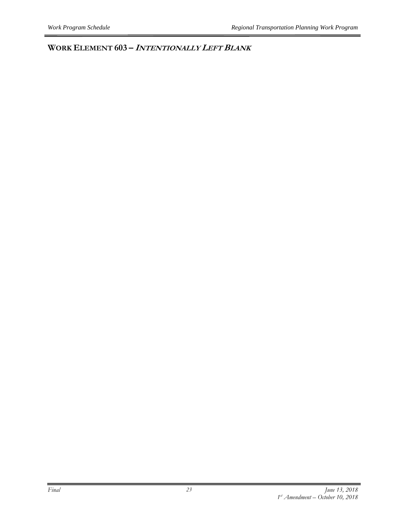**WORK ELEMENT 603 – <sup>I</sup>NTENTIONALLY LEFT BLANK**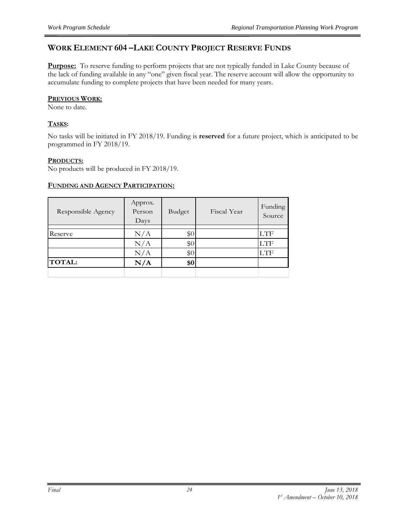#### **WORK ELEMENT 604 –LAKE COUNTY PROJECT RESERVE FUNDS**

**Purpose:** To reserve funding to perform projects that are not typically funded in Lake County because of the lack of funding available in any "one" given fiscal year. The reserve account will allow the opportunity to accumulate funding to complete projects that have been needed for many years.

#### **PREVIOUS WORK:**

None to date.

#### **TASKS:**

No tasks will be initiated in FY 2018/19. Funding is **reserved** for a future project, which is anticipated to be programmed in FY 2018/19.

#### **PRODUCTS:**

No products will be produced in FY 2018/19.

#### **FUNDING AND AGENCY PARTICIPATION:**

| Responsible Agency | Approx.<br>Person<br>Days | Budget | Fiscal Year | Funding<br>Source |
|--------------------|---------------------------|--------|-------------|-------------------|
| Reserve            | N/A                       | \$0    |             | <b>LTF</b>        |
|                    | N/A                       | \$0    |             | <b>LTF</b>        |
|                    |                           |        |             |                   |
|                    | N/A                       | \$0    |             | <b>LTF</b>        |
| <b>TOTAL:</b>      | N/A                       | \$0    |             |                   |
|                    |                           |        |             |                   |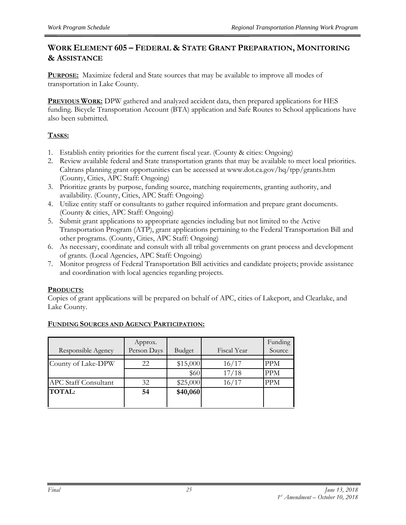#### **WORK ELEMENT 605 – FEDERAL & STATE GRANT PREPARATION, MONITORING & ASSISTANCE**

**PURPOSE:** Maximize federal and State sources that may be available to improve all modes of transportation in Lake County.

**PREVIOUS WORK:** DPW gathered and analyzed accident data, then prepared applications for HES funding. Bicycle Transportation Account (BTA) application and Safe Routes to School applications have also been submitted.

#### **TASKS:**

- 1. Establish entity priorities for the current fiscal year. (County & cities: Ongoing)
- 2. Review available federal and State transportation grants that may be available to meet local priorities. Caltrans planning grant opportunities can be accessed at www.dot.ca.gov/hq/tpp/grants.htm (County, Cities, APC Staff: Ongoing)
- 3. Prioritize grants by purpose, funding source, matching requirements, granting authority, and availability. (County, Cities, APC Staff: Ongoing)
- 4. Utilize entity staff or consultants to gather required information and prepare grant documents. (County & cities, APC Staff: Ongoing)
- 5. Submit grant applications to appropriate agencies including but not limited to the Active Transportation Program (ATP), grant applications pertaining to the Federal Transportation Bill and other programs. (County, Cities, APC Staff: Ongoing)
- 6. As necessary, coordinate and consult with all tribal governments on grant process and development of grants. (Local Agencies, APC Staff: Ongoing)
- 7. Monitor progress of Federal Transportation Bill activities and candidate projects; provide assistance and coordination with local agencies regarding projects.

#### **PRODUCTS:**

Copies of grant applications will be prepared on behalf of APC, cities of Lakeport, and Clearlake, and Lake County.

|                             | Approx.     |          |             | Funding    |
|-----------------------------|-------------|----------|-------------|------------|
| Responsible Agency          | Person Days | Budget   | Fiscal Year | Source     |
|                             |             |          |             |            |
| County of Lake-DPW          | 22          | \$15,000 | 16/17       | <b>PPM</b> |
|                             |             | \$60     | 17/18       | <b>PPM</b> |
| <b>APC Staff Consultant</b> | 32          | \$25,000 | 16/17       | <b>PPM</b> |
| <b>TOTAL:</b>               | 54          | \$40,060 |             |            |
|                             |             |          |             |            |
|                             |             |          |             |            |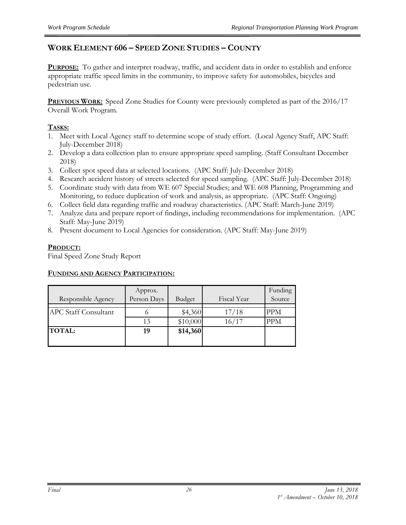#### **WORK ELEMENT 606 – SPEED ZONE STUDIES – COUNTY**

**PURPOSE:** To gather and interpret roadway, traffic, and accident data in order to establish and enforce appropriate traffic speed limits in the community, to improve safety for automobiles, bicycles and pedestrian use.

**PREVIOUS WORK:** Speed Zone Studies for County were previously completed as part of the 2016/17 Overall Work Program.

#### **TASKS:**

- 1. Meet with Local Agency staff to determine scope of study effort. (Local Agency Staff, APC Staff: July-December 2018)
- 2. Develop a data collection plan to ensure appropriate speed sampling. (Staff Consultant December 2018)
- 3. Collect spot speed data at selected locations*.* (APC Staff: July-December 2018)
- 4. Research accident history of streets selected for speed sampling. (APC Staff: July-December 2018)
- 5. Coordinate study with data from WE 607 Special Studies; and WE 608 Planning, Programming and Monitoring, to reduce duplication of work and analysis, as appropriate. (APC Staff: Ongoing)
- 6. Collect field data regarding traffic and roadway characteristics. (APC Staff: March-June 2019)
- 7. Analyze data and prepare report of findings, including recommendations for implementation. (APC Staff: May-June 2019)
- 8. Present document to Local Agencies for consideration. (APC Staff: May-June 2019)

#### **PRODUCT:**

Final Speed Zone Study Report

#### **FUNDING AND AGENCY PARTICIPATION:**

| Responsible Agency          | Approx.<br>Person Days | Budget              | Fiscal Year    | Funding<br>Source        |
|-----------------------------|------------------------|---------------------|----------------|--------------------------|
| <b>APC Staff Consultant</b> | 13                     | \$4,360<br>\$10,000 | 17/18<br>16/17 | <b>PPM</b><br><b>PPM</b> |
| <b>TOTAL:</b>               | 19                     | \$14,360            |                |                          |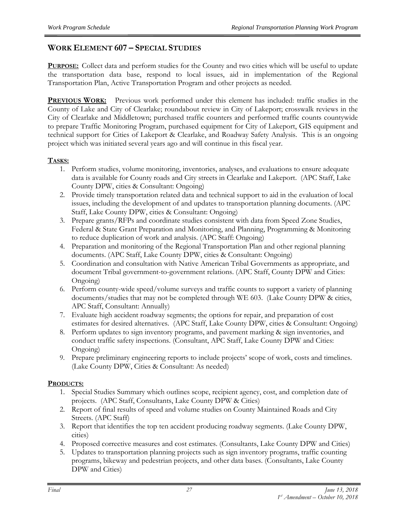#### **WORK ELEMENT 607 – SPECIAL STUDIES**

**PURPOSE:** Collect data and perform studies for the County and two cities which will be useful to update the transportation data base, respond to local issues, aid in implementation of the Regional Transportation Plan, Active Transportation Program and other projects as needed.

**PREVIOUS WORK:** Previous work performed under this element has included: traffic studies in the County of Lake and City of Clearlake; roundabout review in City of Lakeport; crosswalk reviews in the City of Clearlake and Middletown; purchased traffic counters and performed traffic counts countywide to prepare Traffic Monitoring Program, purchased equipment for City of Lakeport, GIS equipment and technical support for Cities of Lakeport & Clearlake, and Roadway Safety Analysis. This is an ongoing project which was initiated several years ago and will continue in this fiscal year.

#### **TASKS:**

- 1. Perform studies, volume monitoring, inventories, analyses, and evaluations to ensure adequate data is available for County roads and City streets in Clearlake and Lakeport. (APC Staff, Lake County DPW, cities & Consultant: Ongoing)
- 2. Provide timely transportation related data and technical support to aid in the evaluation of local issues, including the development of and updates to transportation planning documents. (APC Staff, Lake County DPW, cities & Consultant: Ongoing)
- 3. Prepare grants/RFPs and coordinate studies consistent with data from Speed Zone Studies, Federal & State Grant Preparation and Monitoring, and Planning, Programming & Monitoring to reduce duplication of work and analysis. (APC Staff: Ongoing)
- 4. Preparation and monitoring of the Regional Transportation Plan and other regional planning documents. (APC Staff, Lake County DPW, cities & Consultant: Ongoing)
- 5. Coordination and consultation with Native American Tribal Governments as appropriate, and document Tribal government-to-government relations. (APC Staff, County DPW and Cities: Ongoing)
- 6. Perform county-wide speed/volume surveys and traffic counts to support a variety of planning documents/studies that may not be completed through WE 603. (Lake County DPW & cities, APC Staff, Consultant: Annually)
- 7. Evaluate high accident roadway segments; the options for repair, and preparation of cost estimates for desired alternatives. (APC Staff, Lake County DPW, cities & Consultant: Ongoing)
- 8. Perform updates to sign inventory programs, and pavement marking & sign inventories, and conduct traffic safety inspections. (Consultant, APC Staff, Lake County DPW and Cities: Ongoing)
- 9. Prepare preliminary engineering reports to include projects' scope of work, costs and timelines. (Lake County DPW, Cities & Consultant: As needed)

#### **PRODUCTS:**

- 1. Special Studies Summary which outlines scope, recipient agency, cost, and completion date of projects. (APC Staff, Consultants, Lake County DPW & Cities)
- 2. Report of final results of speed and volume studies on County Maintained Roads and City Streets. (APC Staff)
- 3. Report that identifies the top ten accident producing roadway segments. (Lake County DPW, cities)
- 4. Proposed corrective measures and cost estimates. (Consultants, Lake County DPW and Cities)
- 5. Updates to transportation planning projects such as sign inventory programs, traffic counting programs, bikeway and pedestrian projects, and other data bases. (Consultants, Lake County DPW and Cities)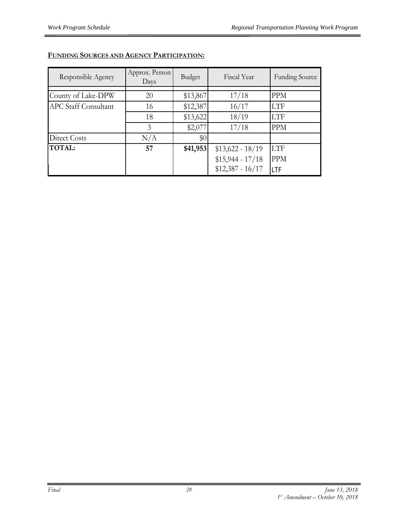| Responsible Agency          | Approx. Person<br>Days | Budget   | Fiscal Year       | <b>Funding Source</b> |
|-----------------------------|------------------------|----------|-------------------|-----------------------|
|                             |                        |          |                   |                       |
| County of Lake-DPW          | 20                     | \$13,867 | 17/18             | <b>PPM</b>            |
| <b>APC Staff Consultant</b> | 16                     | \$12,387 | 16/17             | <b>LTF</b>            |
|                             | 18                     | \$13,622 | 18/19             | <b>LTF</b>            |
|                             | 3                      | \$2,077  | 17/18             | <b>PPM</b>            |
| Direct Costs                | N/A                    | \$0      |                   |                       |
| <b>TOTAL:</b>               | 57                     | \$41,953 | $$13,622 - 18/19$ | <b>LTF</b>            |
|                             |                        |          | $$15,944 - 17/18$ | <b>PPM</b>            |
|                             |                        |          | $$12,387 - 16/17$ | lı TF                 |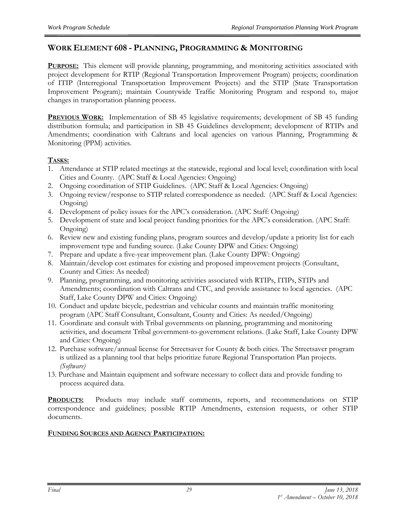#### **WORK ELEMENT 608 - PLANNING, PROGRAMMING & MONITORING**

**PURPOSE:** This element will provide planning, programming, and monitoring activities associated with project development for RTIP (Regional Transportation Improvement Program) projects; coordination of ITIP (Interregional Transportation Improvement Projects) and the STIP (State Transportation Improvement Program); maintain Countywide Traffic Monitoring Program and respond to, major changes in transportation planning process.

**PREVIOUS WORK:** Implementation of SB 45 legislative requirements; development of SB 45 funding distribution formula; and participation in SB 45 Guidelines development; development of RTIPs and Amendments; coordination with Caltrans and local agencies on various Planning, Programming & Monitoring (PPM) activities.

#### **TASKS:**

- 1. Attendance at STIP related meetings at the statewide, regional and local level; coordination with local Cities and County. (APC Staff & Local Agencies: Ongoing)
- 2. Ongoing coordination of STIP Guidelines. (APC Staff & Local Agencies: Ongoing)
- 3. Ongoing review/response to STIP related correspondence as needed. (APC Staff & Local Agencies: Ongoing)
- 4. Development of policy issues for the APC's consideration. (APC Staff: Ongoing)
- 5. Development of state and local project funding priorities for the APC's consideration. (APC Staff: Ongoing)
- 6. Review new and existing funding plans, program sources and develop/update a priority list for each improvement type and funding source. (Lake County DPW and Cities: Ongoing)
- 7. Prepare and update a five-year improvement plan. (Lake County DPW: Ongoing)
- 8. Maintain/develop cost estimates for existing and proposed improvement projects (Consultant, County and Cities: As needed)
- 9. Planning, programming, and monitoring activities associated with RTIPs, ITIPs, STIPs and Amendments; coordination with Caltrans and CTC, and provide assistance to local agencies. (APC Staff, Lake County DPW and Cities: Ongoing)
- 10. Conduct and update bicycle, pedestrian and vehicular counts and maintain traffic monitoring program (APC Staff Consultant, Consultant, County and Cities: As needed/Ongoing)
- 11. Coordinate and consult with Tribal governments on planning, programming and monitoring activities, and document Tribal government-to-government relations. (Lake Staff, Lake County DPW and Cities: Ongoing)
- 12. Purchase software/annual license for Streetsaver for County & both cities. The Streetsaver program is utilized as a planning tool that helps prioritize future Regional Transportation Plan projects. *(Software)*
- 13. Purchase and Maintain equipment and software necessary to collect data and provide funding to process acquired data.

**PRODUCTS:** Products may include staff comments, reports, and recommendations on STIP correspondence and guidelines; possible RTIP Amendments, extension requests, or other STIP documents.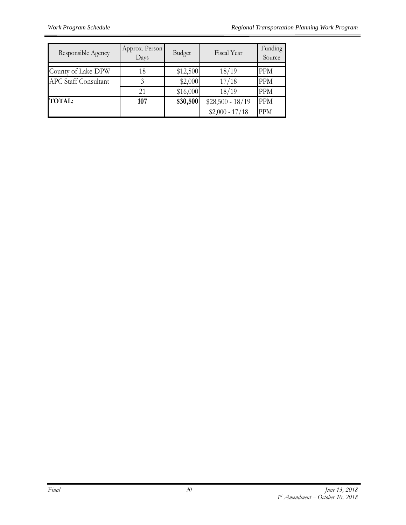| Responsible Agency          | Approx. Person<br>Days | Budget   | Fiscal Year       | Funding<br>Source |
|-----------------------------|------------------------|----------|-------------------|-------------------|
|                             |                        |          |                   |                   |
| County of Lake-DPW          | 18                     | \$12,500 | 18/19             | <b>PPM</b>        |
| <b>APC Staff Consultant</b> | 3                      | \$2,000  | 17/18             | <b>PPM</b>        |
|                             | 21                     | \$16,000 | 18/19             | <b>PPM</b>        |
| <b>TOTAL:</b>               | 107                    | \$30,500 | $$28,500 - 18/19$ | <b>PPM</b>        |
|                             |                        |          | $$2,000 - 17/18$  | <b>PPM</b>        |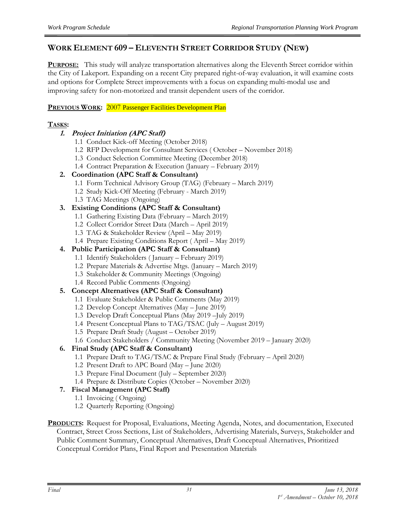#### **WORK ELEMENT 609 – ELEVENTH STREET CORRIDOR STUDY (NEW)**

**PURPOSE:** This study will analyze transportation alternatives along the Eleventh Street corridor within the City of Lakeport. Expanding on a recent City prepared right-of-way evaluation, it will examine costs and options for Complete Street improvements with a focus on expanding multi-modal use and improving safety for non-motorized and transit dependent users of the corridor.

#### **PREVIOUS WORK:** 2007 Passenger Facilities Development Plan

#### **TASKS:**

#### **1. Project Initiation (APC Staff)**

- 1.1 Conduct Kick-off Meeting (October 2018)
- 1.2 RFP Development for Consultant Services ( October November 2018)
- 1.3 Conduct Selection Committee Meeting (December 2018)
- 1.4 Contract Preparation & Execution (January February 2019)

#### **2. Coordination (APC Staff & Consultant)**

- 1.1 Form Technical Advisory Group (TAG) (February March 2019)
- 1.2 Study Kick-Off Meeting (February March 2019)
- 1.3 TAG Meetings (Ongoing)

#### **3. Existing Conditions (APC Staff & Consultant)**

- 1.1 Gathering Existing Data (February March 2019)
- 1.2 Collect Corridor Street Data (March April 2019)
- 1.3 TAG & Stakeholder Review (April May 2019)
- 1.4 Prepare Existing Conditions Report ( April May 2019)

#### **4. Public Participation (APC Staff & Consultant)**

- 1.1 Identify Stakeholders ( January February 2019)
- 1.2 Prepare Materials & Advertise Mtgs. (January March 2019)
- 1.3 Stakeholder & Community Meetings (Ongoing)
- 1.4 Record Public Comments (Ongoing)

#### **5. Concept Alternatives (APC Staff & Consultant)**

- 1.1 Evaluate Stakeholder & Public Comments (May 2019)
- 1.2 Develop Concept Alternatives (May June 2019)
- 1.3 Develop Draft Conceptual Plans (May 2019 –July 2019)
- 1.4 Present Conceptual Plans to TAG/TSAC (July August 2019)
- 1.5 Prepare Draft Study (August October 2019)
- 1.6 Conduct Stakeholders / Community Meeting (November 2019 January 2020)

#### **6. Final Study (APC Staff & Consultant)**

- 1.1 Prepare Draft to TAG/TSAC & Prepare Final Study (February April 2020)
- 1.2 Present Draft to APC Board (May June 2020)
- 1.3 Prepare Final Document (July September 2020)
- 1.4 Prepare & Distribute Copies (October November 2020)

#### **7. Fiscal Management (APC Staff)**

- 1.1 Invoicing ( Ongoing)
- 1.2 Quarterly Reporting (Ongoing)
- **PRODUCTS:** Request for Proposal, Evaluations, Meeting Agenda, Notes, and documentation, Executed Contract, Street Cross Sections, List of Stakeholders, Advertising Materials, Surveys, Stakeholder and Public Comment Summary, Conceptual Alternatives, Draft Conceptual Alternatives, Prioritized Conceptual Corridor Plans, Final Report and Presentation Materials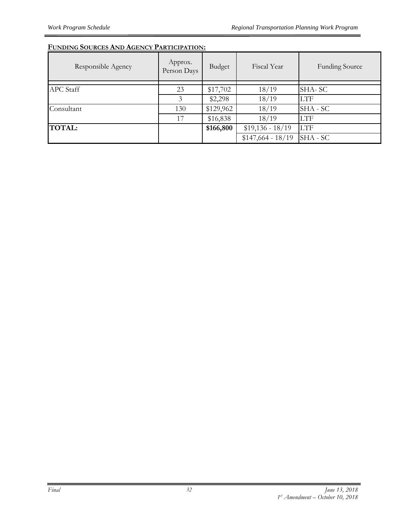| Responsible Agency | Approx.<br>Person Days | Budget    | Fiscal Year        | <b>Funding Source</b> |
|--------------------|------------------------|-----------|--------------------|-----------------------|
| <b>APC</b> Staff   | 23                     | \$17,702  | 18/19              | SHA-SC                |
|                    | 3                      | \$2,298   | 18/19              | <b>LTF</b>            |
| Consultant         | 130                    | \$129,962 | 18/19              | SHA - SC              |
|                    | 17                     | \$16,838  | 18/19              | <b>LTF</b>            |
| <b>TOTAL:</b>      |                        | \$166,800 | $$19,136 - 18/19$  | <b>LTF</b>            |
|                    |                        |           | $$147,664 - 18/19$ | SHA - SC              |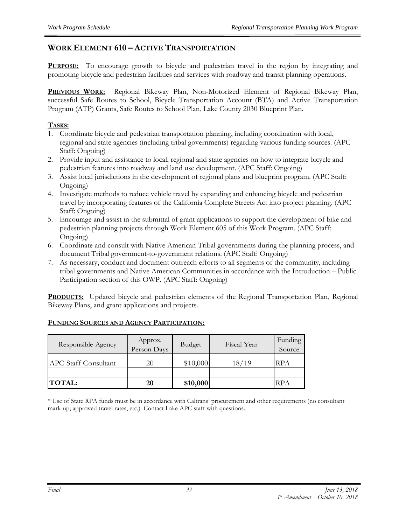#### **WORK ELEMENT 610 – ACTIVE TRANSPORTATION**

**PURPOSE:** To encourage growth to bicycle and pedestrian travel in the region by integrating and promoting bicycle and pedestrian facilities and services with roadway and transit planning operations.

**PREVIOUS WORK:** Regional Bikeway Plan, Non-Motorized Element of Regional Bikeway Plan, successful Safe Routes to School, Bicycle Transportation Account (BTA) and Active Transportation Program (ATP) Grants, Safe Routes to School Plan, Lake County 2030 Blueprint Plan.

#### **TASKS:**

- 1. Coordinate bicycle and pedestrian transportation planning, including coordination with local, regional and state agencies (including tribal governments) regarding various funding sources. (APC Staff: Ongoing)
- 2. Provide input and assistance to local, regional and state agencies on how to integrate bicycle and pedestrian features into roadway and land use development. (APC Staff: Ongoing)
- 3. Assist local jurisdictions in the development of regional plans and blueprint program. (APC Staff: Ongoing)
- 4. Investigate methods to reduce vehicle travel by expanding and enhancing bicycle and pedestrian travel by incorporating features of the California Complete Streets Act into project planning. (APC Staff: Ongoing)
- 5. Encourage and assist in the submittal of grant applications to support the development of bike and pedestrian planning projects through Work Element 605 of this Work Program. (APC Staff: Ongoing)
- 6. Coordinate and consult with Native American Tribal governments during the planning process, and document Tribal government-to-government relations. (APC Staff: Ongoing)
- 7. As necessary, conduct and document outreach efforts to all segments of the community, including tribal governments and Native American Communities in accordance with the Introduction – Public Participation section of this OWP. (APC Staff: Ongoing)

**PRODUCTS:** Updated bicycle and pedestrian elements of the Regional Transportation Plan, Regional Bikeway Plans, and grant applications and projects.

| Responsible Agency          | Approx.<br>Person Days | Budget   | Fiscal Year | Funding<br>Source |
|-----------------------------|------------------------|----------|-------------|-------------------|
| <b>APC</b> Staff Consultant | 20                     | \$10,000 | 18/19       | <b>RPA</b>        |
|                             |                        |          |             |                   |
| <b>TOTAL:</b>               | 20                     | \$10,000 |             | RPA               |

#### **FUNDING SOURCES AND AGENCY PARTICIPATION:**

\* Use of State RPA funds must be in accordance with Caltrans' procurement and other requirements (no consultant mark-up; approved travel rates, etc.) Contact Lake APC staff with questions.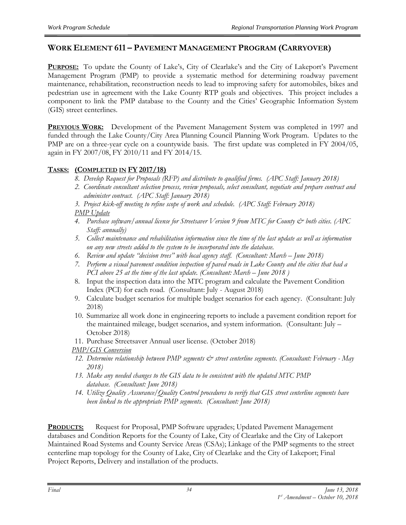#### **WORK ELEMENT 611 – PAVEMENT MANAGEMENT PROGRAM (CARRYOVER)**

**PURPOSE:** To update the County of Lake's, City of Clearlake's and the City of Lakeport's Pavement Management Program (PMP) to provide a systematic method for determining roadway pavement maintenance, rehabilitation, reconstruction needs to lead to improving safety for automobiles, bikes and pedestrian use in agreement with the Lake County RTP goals and objectives. This project includes a component to link the PMP database to the County and the Cities' Geographic Information System (GIS) street centerlines.

**PREVIOUS WORK:** Development of the Pavement Management System was completed in 1997 and funded through the Lake County/City Area Planning Council Planning Work Program. Updates to the PMP are on a three-year cycle on a countywide basis. The first update was completed in FY 2004/05, again in FY 2007/08, FY 2010/11 and FY 2014/15.

#### **TASKS: (COMPLETED IN FY 2017/18)**

- *8. Develop Request for Proposals (RFP) and distribute to qualified firms. (APC Staff: January 2018)*
- *2. Coordinate consultant selection process, review proposals, select consultant, negotiate and prepare contract and administer contract. (APC Staff: January 2018)*
- *3. Project kick-off meeting to refine scope of work and schedule. (APC Staff: February 2018) PMP Update*
- *4. Purchase software/annual license for Streetsaver Version 9 from MTC for County & both cities. (APC Staff: annually)*
- *5. Collect maintenance and rehabilitation information since the time of the last update as well as information on any new streets added to the system to be incorporated into the database.*
- *6. Review and update "decision trees" with local agency staff. (Consultant: March – June 2018)*
- *7. Perform a visual pavement condition inspection of paved roads in Lake County and the cities that had a PCI above 25 at the time of the last update. (Consultant: March – June 2018 )*
- 8. Input the inspection data into the MTC program and calculate the Pavement Condition Index (PCI) for each road. (Consultant: July - August 2018)
- 9. Calculate budget scenarios for multiple budget scenarios for each agency. (Consultant: July 2018)
- 10. Summarize all work done in engineering reports to include a pavement condition report for the maintained mileage, budget scenarios, and system information. (Consultant: July – October 2018)
- 11. Purchase Streetsaver Annual user license. (October 2018)
- *PMP/GIS Conversion*
- *12. Determine relationship between PMP segments & street centerline segments. (Consultant: February - May 2018)*
- *13. Make any needed changes to the GIS data to be consistent with the updated MTC PMP database. (Consultant: June 2018)*
- *14. Utilize Quality Assurance/Quality Control procedures to verify that GIS street centerline segments have been linked to the appropriate PMP segments. (Consultant: June 2018)*

**PRODUCTS:** Request for Proposal, PMP Software upgrades; Updated Pavement Management databases and Condition Reports for the County of Lake, City of Clearlake and the City of Lakeport Maintained Road Systems and County Service Areas (CSAs); Linkage of the PMP segments to the street centerline map topology for the County of Lake, City of Clearlake and the City of Lakeport; Final Project Reports, Delivery and installation of the products.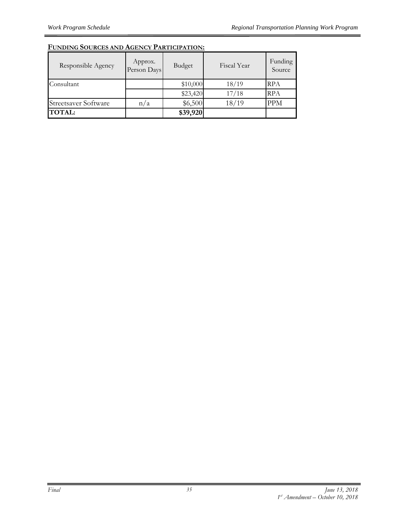| Responsible Agency          | Approx.<br>Person Days | Budget   | Fiscal Year | Funding<br>Source |
|-----------------------------|------------------------|----------|-------------|-------------------|
| Consultant                  |                        | \$10,000 | 18/19       | RPA               |
|                             |                        | \$23,420 | 17/18       | <b>RPA</b>        |
| <b>Streetsaver Software</b> | n/a                    | \$6,500  | 18/19       | <b>PPM</b>        |
| <b>TOTAL:</b>               |                        | \$39,920 |             |                   |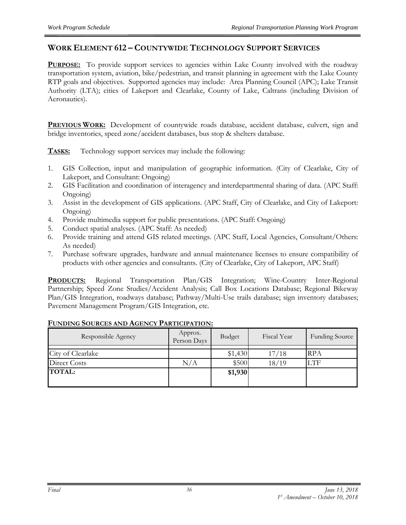#### **WORK ELEMENT 612 – COUNTYWIDE TECHNOLOGY SUPPORT SERVICES**

**PURPOSE:** To provide support services to agencies within Lake County involved with the roadway transportation system, aviation, bike/pedestrian, and transit planning in agreement with the Lake County RTP goals and objectives. Supported agencies may include: Area Planning Council (APC); Lake Transit Authority (LTA); cities of Lakeport and Clearlake, County of Lake, Caltrans (including Division of Aeronautics).

**PREVIOUS WORK:** Development of countywide roads database, accident database, culvert, sign and bridge inventories, speed zone/accident databases, bus stop & shelters database.

**TASKS:** Technology support services may include the following:

- 1. GIS Collection, input and manipulation of geographic information. (City of Clearlake, City of Lakeport, and Consultant: Ongoing)
- 2. GIS Facilitation and coordination of interagency and interdepartmental sharing of data. (APC Staff: Ongoing)
- 3. Assist in the development of GIS applications. (APC Staff, City of Clearlake, and City of Lakeport: Ongoing)
- 4. Provide multimedia support for public presentations. (APC Staff: Ongoing)
- 5. Conduct spatial analyses. (APC Staff: As needed)
- 6. Provide training and attend GIS related meetings. (APC Staff, Local Agencies, Consultant/Others: As needed)
- 7. Purchase software upgrades, hardware and annual maintenance licenses to ensure compatibility of products with other agencies and consultants. (City of Clearlake, City of Lakeport, APC Staff)

**PRODUCTS:** Regional Transportation Plan/GIS Integration; Wine-Country Inter-Regional Partnership; Speed Zone Studies/Accident Analysis; Call Box Locations Database; Regional Bikeway Plan/GIS Integration, roadways database; Pathway/Multi-Use trails database; sign inventory databases; Pavement Management Program/GIS Integration, etc.

| Responsible Agency | Approx.<br>Person Days | Budget  | Fiscal Year | <b>Funding Source</b> |
|--------------------|------------------------|---------|-------------|-----------------------|
|                    |                        |         |             |                       |
| City of Clearlake  |                        | \$1,430 | 17/18       | <b>RPA</b>            |
| Direct Costs       | N/A                    | \$500   | 18/19       | <b>LTF</b>            |
| <b>TOTAL:</b>      |                        | \$1,930 |             |                       |
|                    |                        |         |             |                       |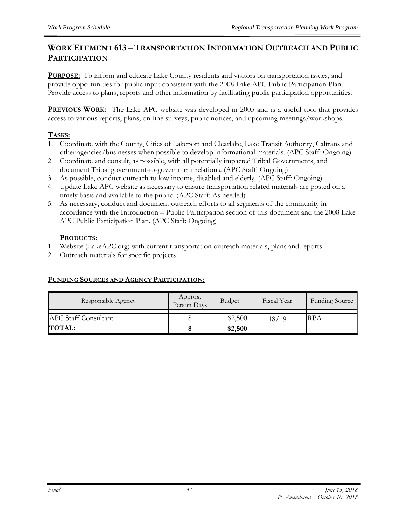#### **WORK ELEMENT 613 – TRANSPORTATION INFORMATION OUTREACH AND PUBLIC PARTICIPATION**

**PURPOSE:** To inform and educate Lake County residents and visitors on transportation issues, and provide opportunities for public input consistent with the 2008 Lake APC Public Participation Plan. Provide access to plans, reports and other information by facilitating public participation opportunities.

**PREVIOUS WORK:** The Lake APC website was developed in 2005 and is a useful tool that provides access to various reports, plans, on-line surveys, public notices, and upcoming meetings/workshops.

#### **TASKS:**

- 1. Coordinate with the County, Cities of Lakeport and Clearlake, Lake Transit Authority, Caltrans and other agencies/businesses when possible to develop informational materials. (APC Staff: Ongoing)
- 2. Coordinate and consult, as possible, with all potentially impacted Tribal Governments, and document Tribal government-to-government relations. (APC Staff: Ongoing)
- 3. As possible, conduct outreach to low income, disabled and elderly. (APC Staff: Ongoing)
- 4. Update Lake APC website as necessary to ensure transportation related materials are posted on a timely basis and available to the public. (APC Staff: As needed)
- 5. As necessary, conduct and document outreach efforts to all segments of the community in accordance with the Introduction – Public Participation section of this document and the 2008 Lake APC Public Participation Plan. (APC Staff: Ongoing)

#### **PRODUCTS:**

- 1. Website (LakeAPC.org) with current transportation outreach materials, plans and reports.
- 2. Outreach materials for specific projects

| Responsible Agency          | Approx.<br>Person Days | Budget  | Fiscal Year | <b>Funding Source</b> |
|-----------------------------|------------------------|---------|-------------|-----------------------|
| <b>APC Staff Consultant</b> |                        | \$2,500 | 18/19       | 'RPA                  |
| <b>TOTAL:</b>               |                        | \$2,500 |             |                       |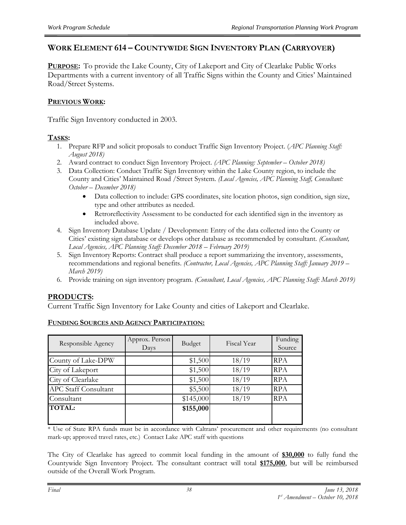#### **WORK ELEMENT 614 – COUNTYWIDE SIGN INVENTORY PLAN (CARRYOVER)**

**PURPOSE:** To provide the Lake County, City of Lakeport and City of Clearlake Public Works Departments with a current inventory of all Traffic Signs within the County and Cities' Maintained Road/Street Systems.

#### **PREVIOUS WORK:**

Traffic Sign Inventory conducted in 2003.

#### **TASKS:**

- 1. Prepare RFP and solicit proposals to conduct Traffic Sign Inventory Project. (*APC Planning Staff: August 2018)*
- 2. Award contract to conduct Sign Inventory Project. *(APC Planning: September – October 2018)*
- 3. Data Collection: Conduct Traffic Sign Inventory within the Lake County region, to include the County and Cities' Maintained Road /Street System. *(Local Agencies, APC Planning Staff, Consultant: October – December 2018)*
	- Data collection to include: GPS coordinates, site location photos, sign condition, sign size, type and other attributes as needed.
	- Retroreflectivity Assessment to be conducted for each identified sign in the inventory as included above.
- 4. Sign Inventory Database Update / Development: Entry of the data collected into the County or Cities' existing sign database or develops other database as recommended by consultant. *(Consultant, Local Agencies, APC Planning Staff: December 2018 – February 2019)*
- 5. Sign Inventory Reports: Contract shall produce a report summarizing the inventory, assessments, recommendations and regional benefits. *(Contractor, Local Agencies, APC Planning Staff: January 2019 – March 2019)*
- 6. Provide training on sign inventory program. *(Consultant, Local Agencies, APC Planning Staff: March 2019)*

#### **PRODUCTS:**

Current Traffic Sign Inventory for Lake County and cities of Lakeport and Clearlake.

| Responsible Agency          | Approx. Person<br>Days | Budget    | Fiscal Year | Funding<br>Source |
|-----------------------------|------------------------|-----------|-------------|-------------------|
| County of Lake-DPW          |                        | \$1,500   | 18/19       | <b>RPA</b>        |
|                             |                        |           |             |                   |
| City of Lakeport            |                        | \$1,500   | 18/19       | <b>RPA</b>        |
| City of Clearlake           |                        | \$1,500   | 18/19       | <b>RPA</b>        |
| <b>APC Staff Consultant</b> |                        | \$5,500   | 18/19       | <b>RPA</b>        |
| Consultant                  |                        | \$145,000 | 18/19       | <b>RPA</b>        |
| <b>TOTAL:</b>               |                        | \$155,000 |             |                   |
|                             |                        |           |             |                   |

#### **FUNDING SOURCES AND AGENCY PARTICIPATION:**

\* Use of State RPA funds must be in accordance with Caltrans' procurement and other requirements (no consultant mark-up; approved travel rates, etc.) Contact Lake APC staff with questions

The City of Clearlake has agreed to commit local funding in the amount of **\$30,000** to fully fund the Countywide Sign Inventory Project. The consultant contract will total **\$175,000**, but will be reimbursed outside of the Overall Work Program.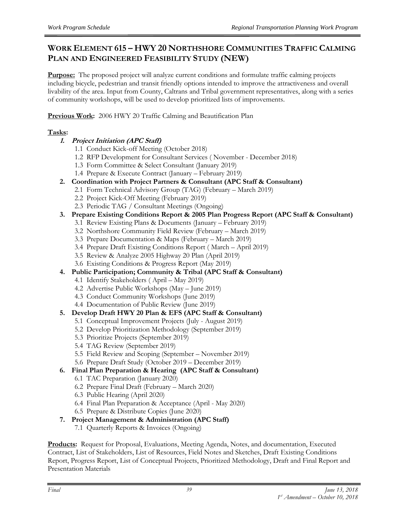#### **WORK ELEMENT 615 – HWY 20 NORTHSHORE COMMUNITIES TRAFFIC CALMING PLAN AND ENGINEERED FEASIBILITY STUDY (NEW)**

**Purpose:** The proposed project will analyze current conditions and formulate traffic calming projects including bicycle, pedestrian and transit friendly options intended to improve the attractiveness and overall livability of the area. Input from County, Caltrans and Tribal government representatives, along with a series of community workshops, will be used to develop prioritized lists of improvements.

**Previous Work:** 2006 HWY 20 Traffic Calming and Beautification Plan

#### **Tasks:**

- **1. Project Initiation (APC Staff)**
	- 1.1 Conduct Kick-off Meeting (October 2018)
	- 1.2 RFP Development for Consultant Services ( November December 2018)
	- 1.3 Form Committee & Select Consultant (January 2019)
	- 1.4 Prepare & Execute Contract (January February 2019)
- **2. Coordination with Project Partners & Consultant (APC Staff & Consultant)**
	- 2.1 Form Technical Advisory Group (TAG) (February March 2019)
	- 2.2 Project Kick-Off Meeting (February 2019)
	- 2.3 Periodic TAG / Consultant Meetings (Ongoing)
- **3. Prepare Existing Conditions Report & 2005 Plan Progress Report (APC Staff & Consultant)**
	- 3.1 Review Existing Plans & Documents (January February 2019)
	- 3.2 Northshore Community Field Review (February March 2019)
	- 3.3 Prepare Documentation & Maps (February March 2019)
	- 3.4 Prepare Draft Existing Conditions Report ( March April 2019)
	- 3.5 Review & Analyze 2005 Highway 20 Plan (April 2019)
	- 3.6 Existing Conditions & Progress Report (May 2019)
- **4. Public Participation; Community & Tribal (APC Staff & Consultant)**
	- 4.1 Identify Stakeholders ( April May 2019)
	- 4.2 Advertise Public Workshops (May June 2019)
	- 4.3 Conduct Community Workshops (June 2019)
	- 4.4 Documentation of Public Review (June 2019)
- **5. Develop Draft HWY 20 Plan & EFS (APC Staff & Consultant)**
	- 5.1 Conceptual Improvement Projects (July August 2019)
	- 5.2 Develop Prioritization Methodology (September 2019)
	- 5.3 Prioritize Projects (September 2019)
	- 5.4 TAG Review (September 2019)
	- 5.5 Field Review and Scoping (September November 2019)
	- 5.6 Prepare Draft Study (October 2019 December 2019)
- **6. Final Plan Preparation & Hearing (APC Staff & Consultant)**
	- 6.1 TAC Preparation (January 2020)
	- 6.2 Prepare Final Draft (February March 2020)
	- 6.3 Public Hearing (April 2020)
	- 6.4 Final Plan Preparation & Acceptance (April May 2020)
	- 6.5 Prepare & Distribute Copies (June 2020)
- **7. Project Management & Administration (APC Staff)**
	- 7.1 Quarterly Reports & Invoices (Ongoing)

**Products:** Request for Proposal, Evaluations, Meeting Agenda, Notes, and documentation, Executed Contract, List of Stakeholders, List of Resources, Field Notes and Sketches, Draft Existing Conditions Report, Progress Report, List of Conceptual Projects, Prioritized Methodology, Draft and Final Report and Presentation Materials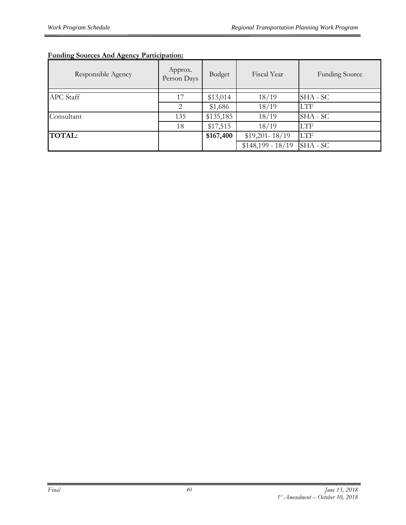#### **Funding Sources And Agency Participation:**

| Responsible Agency | Approx.<br>Person Days | Budget    | Fiscal Year        | <b>Funding Source</b> |
|--------------------|------------------------|-----------|--------------------|-----------------------|
| <b>APC</b> Staff   | 17                     | \$13,014  | 18/19              | SHA - SC              |
|                    | 2                      | \$1,686   | 18/19              | <b>LTF</b>            |
| Consultant         | 135                    | \$135,185 | 18/19              | SHA - SC              |
|                    | 18                     | \$17,515  | 18/19              | <b>LTF</b>            |
| <b>TOTAL:</b>      |                        | \$167,400 | $$19,201 - 18/19$  | <b>LTF</b>            |
|                    |                        |           | $$148,199 - 18/19$ | SHA - SC              |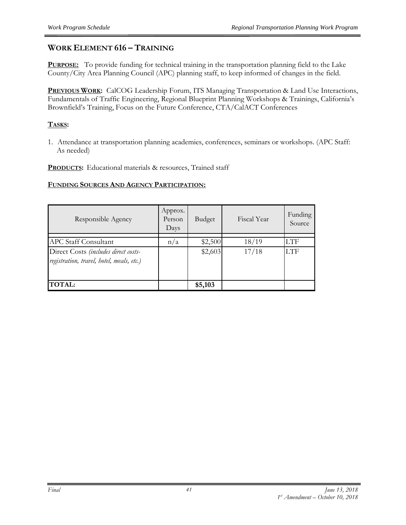#### **WORK ELEMENT 616 – TRAINING**

**PURPOSE:** To provide funding for technical training in the transportation planning field to the Lake County/City Area Planning Council (APC) planning staff, to keep informed of changes in the field.

**PREVIOUS WORK:** CalCOG Leadership Forum, ITS Managing Transportation & Land Use Interactions, Fundamentals of Traffic Engineering, Regional Blueprint Planning Workshops & Trainings, California's Brownfield's Training, Focus on the Future Conference, CTA/CalACT Conferences

#### **TASKS:**

1. Attendance at transportation planning academies, conferences, seminars or workshops. (APC Staff: As needed)

**PRODUCTS:** Educational materials & resources, Trained staff

| Responsible Agency                                                                | Approx.<br>Person<br>Days | Budget  | Fiscal Year | Funding<br>Source |
|-----------------------------------------------------------------------------------|---------------------------|---------|-------------|-------------------|
| <b>APC Staff Consultant</b>                                                       | n/a                       | \$2,500 | 18/19       | LTF               |
| Direct Costs (includes direct costs-<br>registration, travel, hotel, meals, etc.) |                           | \$2,603 | 17/18       | LTF               |
| <b>TOTAL:</b>                                                                     |                           | \$5,103 |             |                   |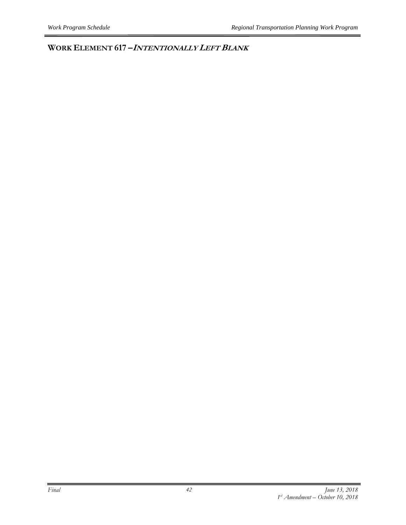**WORK ELEMENT 617 –<sup>I</sup>NTENTIONALLY LEFT BLANK**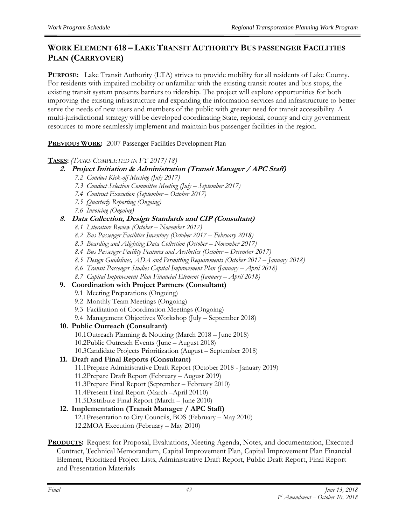#### **WORK ELEMENT 618 – LAKE TRANSIT AUTHORITY BUS PASSENGER FACILITIES PLAN (CARRYOVER)**

**PURPOSE:** Lake Transit Authority (LTA) strives to provide mobility for all residents of Lake County. For residents with impaired mobility or unfamiliar with the existing transit routes and bus stops, the existing transit system presents barriers to ridership. The project will explore opportunities for both improving the existing infrastructure and expanding the information services and infrastructure to better serve the needs of new users and members of the public with greater need for transit accessibility. A multi-jurisdictional strategy will be developed coordinating State, regional, county and city government resources to more seamlessly implement and maintain bus passenger facilities in the region.

**PREVIOUS WORK:** 2007 Passenger Facilities Development Plan

#### **TASKS:** *(TASKS COMPLETED IN FY 2017/18)*

- **2. Project Initiation & Administration (Transit Manager / APC Staff)**
	- *7.2 Conduct Kick-off Meeting (July 2017)*
	- *7.3 Conduct Selection Committee Meeting (July – September 2017)*
	- *7.4 Contract Execution (September – October 2017)*
	- *7.5 Quarterly Reporting (Ongoing)*
	- *7.6 Invoicing (Ongoing)*

#### **8. Data Collection, Design Standards and CIP (Consultant)**

- *8.1 Literature Review (October – November 2017)*
- *8.2 Bus Passenger Facilities Inventory (October 2017 – February 2018)*
- *8.3 Boarding and Alighting Data Collection (October – November 2017)*
- *8.4 Bus Passenger Facility Features and Aesthetics (October – December 2017)*
- *8.5 Design Guidelines, ADA and Permitting Requirements (October 2017 – January 2018)*
- *8.6 Transit Passenger Studies Capital Improvement Plan (January – April 2018)*
- *8.7 Capital Improvement Plan Financial Element (January – April 2018)*

#### **9. Coordination with Project Partners (Consultant)**

- 9.1 Meeting Preparations (Ongoing)
- 9.2 Monthly Team Meetings (Ongoing)
- 9.3 Facilitation of Coordination Meetings (Ongoing)
- 9.4 Management Objectives Workshop (July September 2018)

#### **10. Public Outreach (Consultant)**

- 10.1Outreach Planning & Noticing (March 2018 June 2018)
- 10.2Public Outreach Events (June August 2018)
- 10.3Candidate Projects Prioritization (August September 2018)

#### **11. Draft and Final Reports (Consultant)**

- 11.1Prepare Administrative Draft Report (October 2018 January 2019)
- 11.2Prepare Draft Report (February August 2019)
- 11.3Prepare Final Report (September February 2010)
- 11.4Present Final Report (March –April 20110)
- 11.5Distribute Final Report (March June 2010)

#### **12. Implementation (Transit Manager / APC Staff)**

- 12.1Presentation to City Councils, BOS (February May 2010)
- 12.2MOA Execution (February May 2010)
- **PRODUCTS:** Request for Proposal, Evaluations, Meeting Agenda, Notes, and documentation, Executed Contract, Technical Memorandum, Capital Improvement Plan, Capital Improvement Plan Financial Element, Prioritized Project Lists, Administrative Draft Report, Public Draft Report, Final Report and Presentation Materials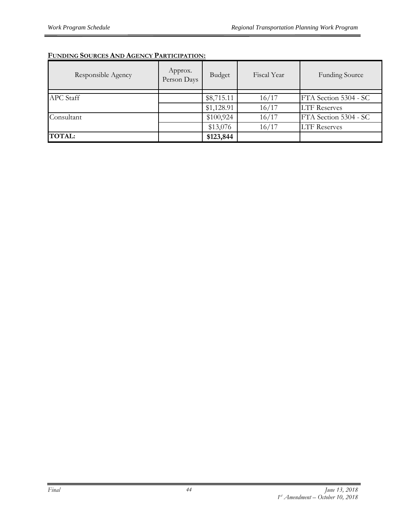| Responsible Agency | Approx.<br>Person Days | Budget     | Fiscal Year | <b>Funding Source</b> |
|--------------------|------------------------|------------|-------------|-----------------------|
|                    |                        |            |             |                       |
| <b>APC</b> Staff   |                        | \$8,715.11 | 16/17       | FTA Section 5304 - SC |
|                    |                        | \$1,128.91 | 16/17       | <b>LTF Reserves</b>   |
| Consultant         |                        | \$100,924  | 16/17       | FTA Section 5304 - SC |
|                    |                        | \$13,076   | 16/17       | <b>LTF Reserves</b>   |
| <b>TOTAL:</b>      |                        | \$123,844  |             |                       |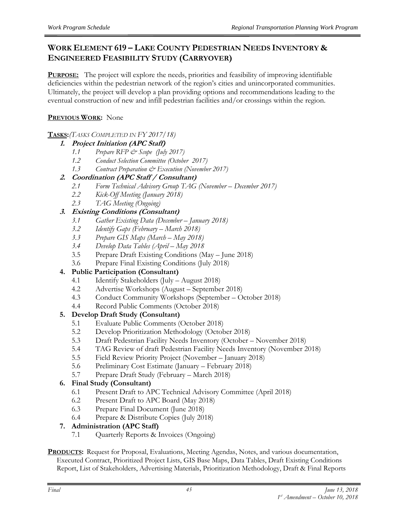#### **WORK ELEMENT 619 – LAKE COUNTY PEDESTRIAN NEEDS INVENTORY & ENGINEERED FEASIBILITY STUDY (CARRYOVER)**

**PURPOSE:** The project will explore the needs, priorities and feasibility of improving identifiable deficiencies within the pedestrian network of the region's cities and unincorporated communities. Ultimately, the project will develop a plan providing options and recommendations leading to the eventual construction of new and infill pedestrian facilities and/or crossings within the region.

#### **PREVIOUS WORK:** None

#### **TASKS:***(TASKS COMPLETED IN FY 2017/18)*

#### **1. Project Initiation (APC Staff)**

- *1.1 Prepare RFP & Scope (July 2017)*
- *1.2 Conduct Selection Committee (October 2017)*
- *1.3 Contract Preparation & Execution (November 2017)*

#### **2. Coordination (APC Staff / Consultant)**

- *2.1 Form Technical Advisory Group TAG (November – December 2017)*
- *2.2 Kick-Off Meeting (January 2018)*
- *2.3 TAG Meeting (Ongoing)*

#### **3. Existing Conditions (Consultant)**

- *3.1 Gather Existing Data (December – January 2018)*
- *3.2 Identify Gaps (February – March 2018)*
- *3.3 Prepare GIS Maps (March – May 2018)*
- *3.4 Develop Data Tables (April – May 2018*
- 3.5 Prepare Draft Existing Conditions (May June 2018)
- 3.6 Prepare Final Existing Conditions (July 2018)

#### **4. Public Participation (Consultant)**

- 4.1 Identify Stakeholders (July August 2018)
- 4.2 Advertise Workshops (August September 2018)
- 4.3 Conduct Community Workshops (September October 2018)
- 4.4 Record Public Comments (October 2018)

#### **5. Develop Draft Study (Consultant)**

- 5.1 Evaluate Public Comments (October 2018)
- 5.2 Develop Prioritization Methodology (October 2018)
- 5.3 Draft Pedestrian Facility Needs Inventory (October November 2018)
- 5.4 TAG Review of draft Pedestrian Facility Needs Inventory (November 2018)
- 5.5 Field Review Priority Project (November January 2018)
- 5.6 Preliminary Cost Estimate (January February 2018)
- 5.7 Prepare Draft Study (February March 2018)

#### **6. Final Study (Consultant)**

- 6.1 Present Draft to APC Technical Advisory Committee (April 2018)
- 6.2 Present Draft to APC Board (May 2018)
- 6.3 Prepare Final Document (June 2018)
- 6.4 Prepare & Distribute Copies (July 2018)

#### **7. Administration (APC Staff)**

- 7.1 Quarterly Reports & Invoices (Ongoing)
- **PRODUCTS:** Request for Proposal, Evaluations, Meeting Agendas, Notes, and various documentation, Executed Contract, Prioritized Project Lists, GIS Base Maps, Data Tables, Draft Existing Conditions Report, List of Stakeholders, Advertising Materials, Prioritization Methodology, Draft & Final Reports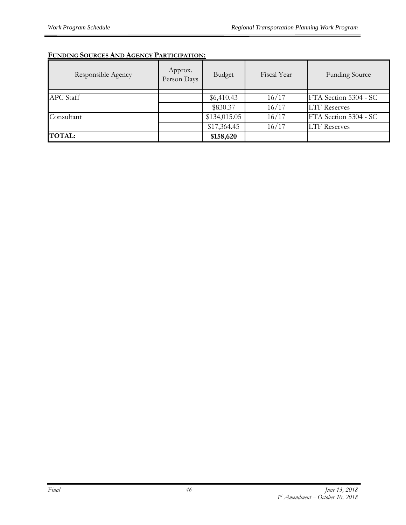| Responsible Agency | Approx.<br>Person Days | Budget       | Fiscal Year | <b>Funding Source</b> |
|--------------------|------------------------|--------------|-------------|-----------------------|
|                    |                        |              |             |                       |
| <b>APC</b> Staff   |                        | \$6,410.43   | 16/17       | FTA Section 5304 - SC |
|                    |                        | \$830.37     | 16/17       | <b>LTF Reserves</b>   |
| Consultant         |                        | \$134,015.05 | 16/17       | FTA Section 5304 - SC |
|                    |                        | \$17,364.45  | 16/17       | <b>LTF Reserves</b>   |
| <b>TOTAL:</b>      |                        | \$158,620    |             |                       |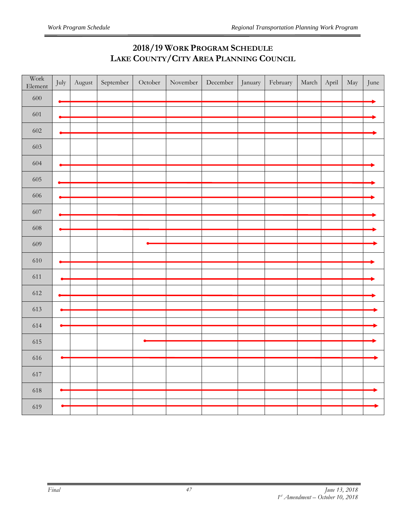## **2018/19 WORK PROGRAM SCHEDULE LAKE COUNTY/CITY AREA PLANNING COUNCIL**

| Work<br>Element | July | August | September | October | November | December | January | February | March | April | May | June |
|-----------------|------|--------|-----------|---------|----------|----------|---------|----------|-------|-------|-----|------|
| $600\,$         |      |        |           |         |          |          |         |          |       |       |     |      |
| 601             |      |        |           |         |          |          |         |          |       |       |     |      |
| 602             |      |        |           |         |          |          |         |          |       |       |     |      |
| 603             |      |        |           |         |          |          |         |          |       |       |     |      |
| 604             |      |        |           |         |          |          |         |          |       |       |     |      |
| 605             |      |        |           |         |          |          |         |          |       |       |     |      |
| 606             |      |        |           |         |          |          |         |          |       |       |     |      |
| 607             |      |        |           |         |          |          |         |          |       |       |     |      |
| 608             |      |        |           |         |          |          |         |          |       |       |     |      |
| 609             |      |        |           |         |          |          |         |          |       |       |     |      |
| 610             |      |        |           |         |          |          |         |          |       |       |     |      |
| 611             |      |        |           |         |          |          |         |          |       |       |     |      |
|                 |      |        |           |         |          |          |         |          |       |       |     |      |
| 612             |      |        |           |         |          |          |         |          |       |       |     |      |
| 613             |      |        |           |         |          |          |         |          |       |       |     |      |
| 614             |      |        |           |         |          |          |         |          |       |       |     |      |
| 615             |      |        |           |         |          |          |         |          |       |       |     |      |
|                 |      |        |           |         |          |          |         |          |       |       |     |      |
| 616             |      |        |           |         |          |          |         |          |       |       |     |      |
| 617             |      |        |           |         |          |          |         |          |       |       |     |      |
| 618             |      |        |           |         |          |          |         |          |       |       |     |      |
| 619             |      |        |           |         |          |          |         |          |       |       |     |      |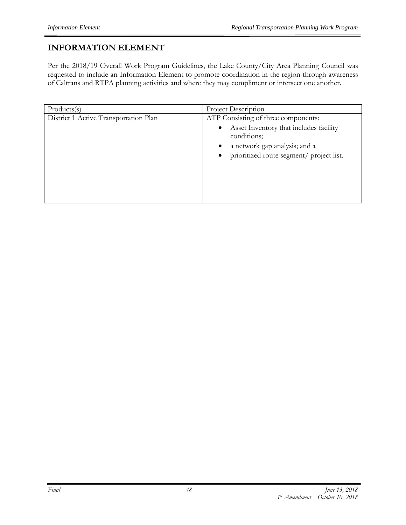## **INFORMATION ELEMENT**

Per the 2018/19 Overall Work Program Guidelines, the Lake County/City Area Planning Council was requested to include an Information Element to promote coordination in the region through awareness of Caltrans and RTPA planning activities and where they may compliment or intersect one another.

| $Products(s)$                         | <b>Project Description</b>                                                                                                                                                                          |
|---------------------------------------|-----------------------------------------------------------------------------------------------------------------------------------------------------------------------------------------------------|
| District 1 Active Transportation Plan | ATP Consisting of three components:<br>Asset Inventory that includes facility<br>$\bullet$<br>conditions;<br>a network gap analysis; and a<br>$\bullet$<br>prioritized route segment/ project list. |
|                                       |                                                                                                                                                                                                     |